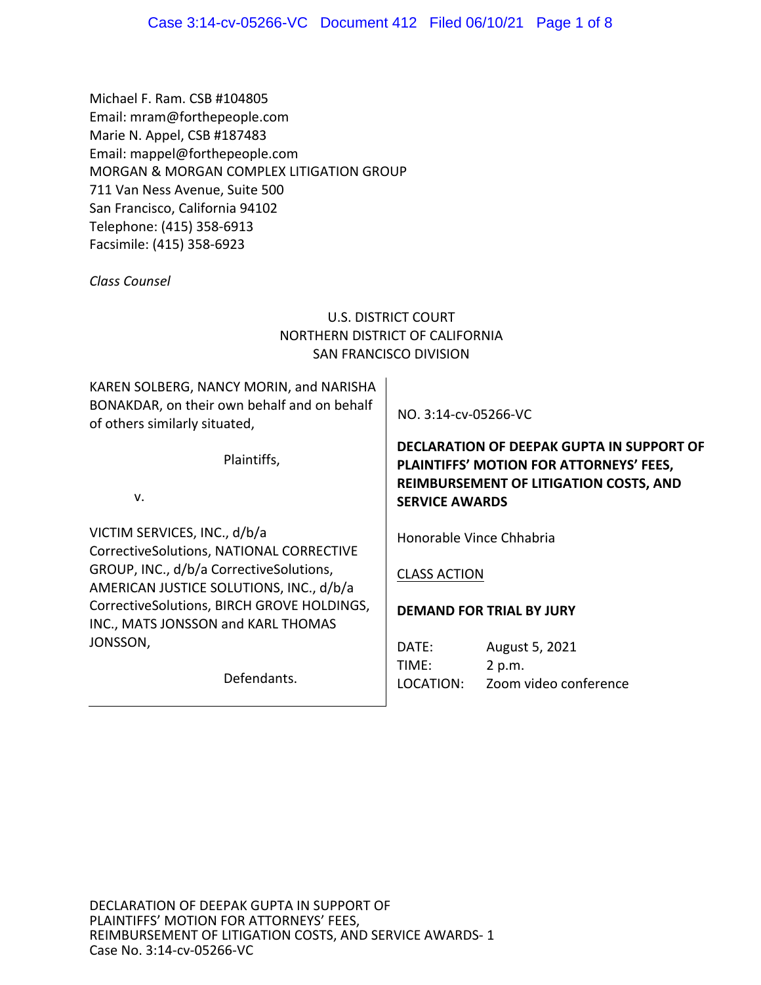Michael F. Ram. CSB #104805 Email: mram@forthepeople.com Marie N. Appel, CSB #187483 Email: mappel@forthepeople.com MORGAN & MORGAN COMPLEX LITIGATION GROUP 711 Van Ness Avenue, Suite 500 San Francisco, California 94102 Telephone: (415) 358‐6913 Facsimile: (415) 358‐6923

*Class Counsel* 

# U.S. DISTRICT COURT NORTHERN DISTRICT OF CALIFORNIA SAN FRANCISCO DIVISION

KAREN SOLBERG, NANCY MORIN, and NARISHA BONAKDAR, on their own behalf and on behalf of others similarly situated,

Plaintiffs,

v.

VICTIM SERVICES, INC., d/b/a CorrectiveSolutions, NATIONAL CORRECTIVE GROUP, INC., d/b/a CorrectiveSolutions, AMERICAN JUSTICE SOLUTIONS, INC., d/b/a CorrectiveSolutions, BIRCH GROVE HOLDINGS, INC., MATS JONSSON and KARL THOMAS JONSSON,

Defendants.

NO. 3:14‐cv‐05266‐VC

**DECLARATION OF DEEPAK GUPTA IN SUPPORT OF PLAINTIFFS' MOTION FOR ATTORNEYS' FEES, REIMBURSEMENT OF LITIGATION COSTS, AND SERVICE AWARDS** 

Honorable Vince Chhabria

# CLASS ACTION

# **DEMAND FOR TRIAL BY JURY**

DATE: August 5, 2021 TIME: 2 p.m. LOCATION: Zoom video conference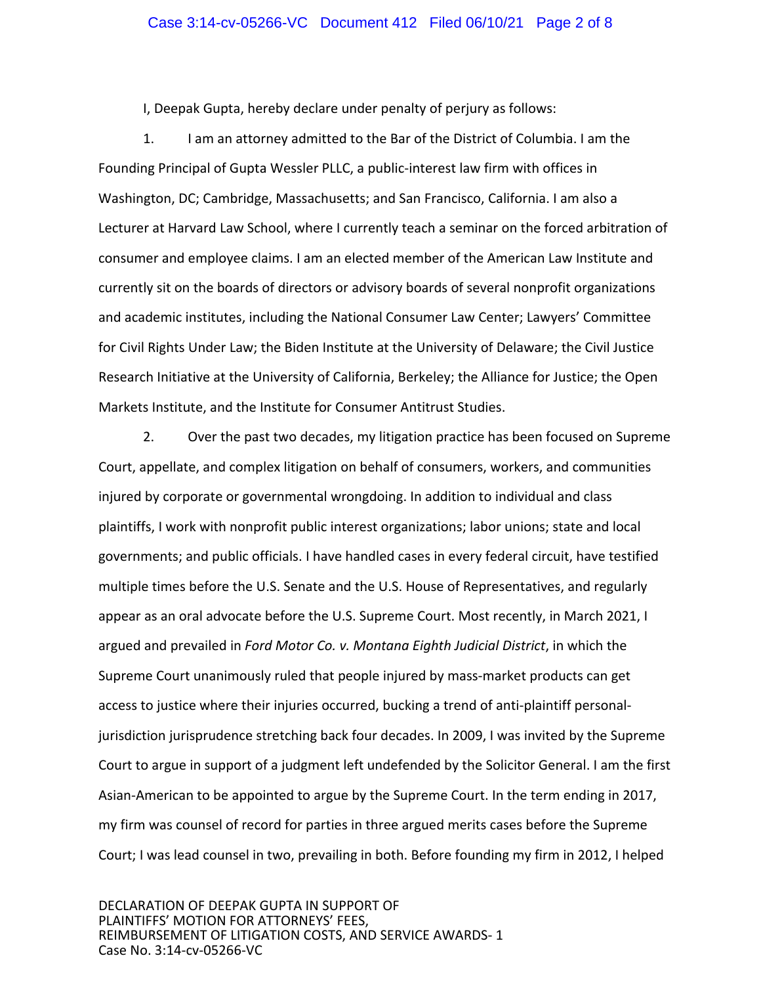### Case 3:14-cv-05266-VC Document 412 Filed 06/10/21 Page 2 of 8

I, Deepak Gupta, hereby declare under penalty of perjury as follows:

1. I am an attorney admitted to the Bar of the District of Columbia. I am the Founding Principal of Gupta Wessler PLLC, a public‐interest law firm with offices in Washington, DC; Cambridge, Massachusetts; and San Francisco, California. I am also a Lecturer at Harvard Law School, where I currently teach a seminar on the forced arbitration of consumer and employee claims. I am an elected member of the American Law Institute and currently sit on the boards of directors or advisory boards of several nonprofit organizations and academic institutes, including the National Consumer Law Center; Lawyers' Committee for Civil Rights Under Law; the Biden Institute at the University of Delaware; the Civil Justice Research Initiative at the University of California, Berkeley; the Alliance for Justice; the Open Markets Institute, and the Institute for Consumer Antitrust Studies.

2. Over the past two decades, my litigation practice has been focused on Supreme Court, appellate, and complex litigation on behalf of consumers, workers, and communities injured by corporate or governmental wrongdoing. In addition to individual and class plaintiffs, I work with nonprofit public interest organizations; labor unions; state and local governments; and public officials. I have handled cases in every federal circuit, have testified multiple times before the U.S. Senate and the U.S. House of Representatives, and regularly appear as an oral advocate before the U.S. Supreme Court. Most recently, in March 2021, I argued and prevailed in *Ford Motor Co. v. Montana Eighth Judicial District*, in which the Supreme Court unanimously ruled that people injured by mass-market products can get access to justice where their injuries occurred, bucking a trend of anti-plaintiff personaljurisdiction jurisprudence stretching back four decades. In 2009, I was invited by the Supreme Court to argue in support of a judgment left undefended by the Solicitor General. I am the first Asian‐American to be appointed to argue by the Supreme Court. In the term ending in 2017, my firm was counsel of record for parties in three argued merits cases before the Supreme Court; I was lead counsel in two, prevailing in both. Before founding my firm in 2012, I helped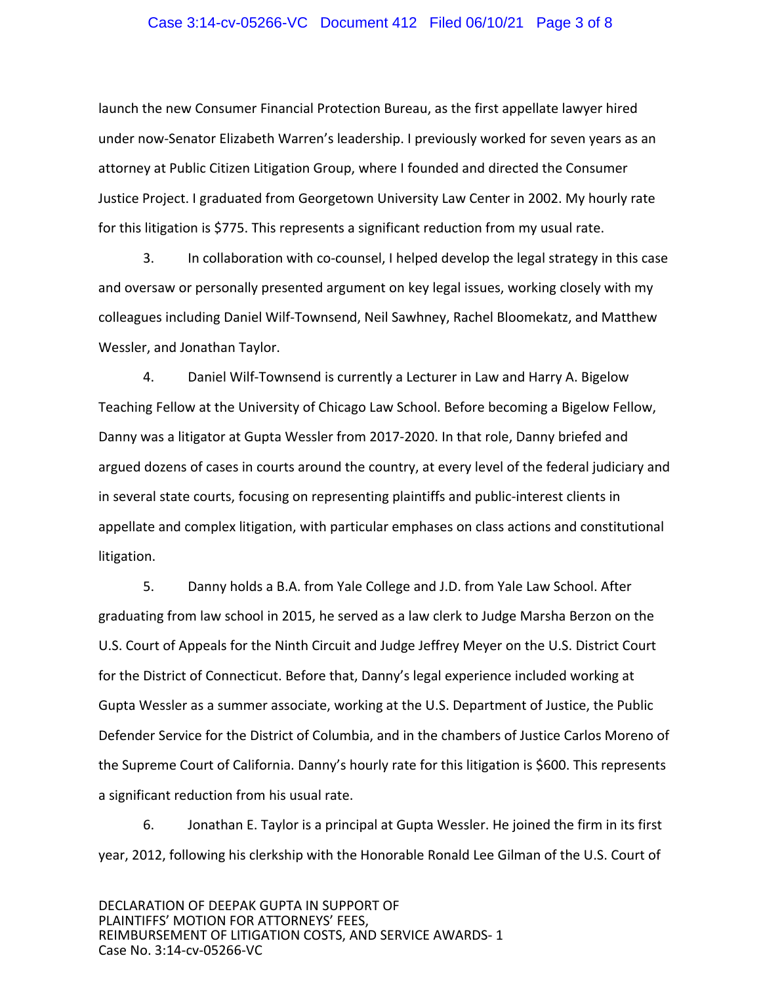### Case 3:14-cv-05266-VC Document 412 Filed 06/10/21 Page 3 of 8

launch the new Consumer Financial Protection Bureau, as the first appellate lawyer hired under now‐Senator Elizabeth Warren's leadership. I previously worked for seven years as an attorney at Public Citizen Litigation Group, where I founded and directed the Consumer Justice Project. I graduated from Georgetown University Law Center in 2002. My hourly rate for this litigation is \$775. This represents a significant reduction from my usual rate.

 3. In collaboration with co‐counsel, I helped develop the legal strategy in this case and oversaw or personally presented argument on key legal issues, working closely with my colleagues including Daniel Wilf‐Townsend, Neil Sawhney, Rachel Bloomekatz, and Matthew Wessler, and Jonathan Taylor.

4. Daniel Wilf-Townsend is currently a Lecturer in Law and Harry A. Bigelow Teaching Fellow at the University of Chicago Law School. Before becoming a Bigelow Fellow, Danny was a litigator at Gupta Wessler from 2017‐2020. In that role, Danny briefed and argued dozens of cases in courts around the country, at every level of the federal judiciary and in several state courts, focusing on representing plaintiffs and public-interest clients in appellate and complex litigation, with particular emphases on class actions and constitutional litigation.

5. Danny holds a B.A. from Yale College and J.D. from Yale Law School. After graduating from law school in 2015, he served as a law clerk to Judge Marsha Berzon on the U.S. Court of Appeals for the Ninth Circuit and Judge Jeffrey Meyer on the U.S. District Court for the District of Connecticut. Before that, Danny's legal experience included working at Gupta Wessler as a summer associate, working at the U.S. Department of Justice, the Public Defender Service for the District of Columbia, and in the chambers of Justice Carlos Moreno of the Supreme Court of California. Danny's hourly rate for this litigation is \$600. This represents a significant reduction from his usual rate.

6. Jonathan E. Taylor is a principal at Gupta Wessler. He joined the firm in its first year, 2012, following his clerkship with the Honorable Ronald Lee Gilman of the U.S. Court of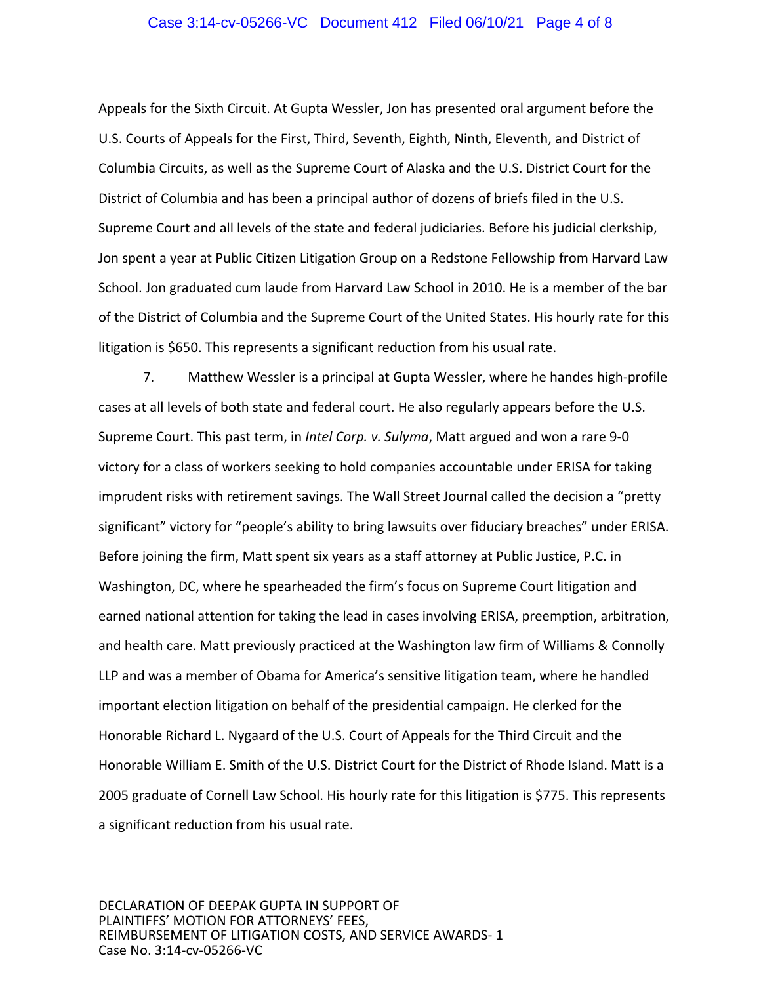### Case 3:14-cv-05266-VC Document 412 Filed 06/10/21 Page 4 of 8

Appeals for the Sixth Circuit. At Gupta Wessler, Jon has presented oral argument before the U.S. Courts of Appeals for the First, Third, Seventh, Eighth, Ninth, Eleventh, and District of Columbia Circuits, as well as the Supreme Court of Alaska and the U.S. District Court for the District of Columbia and has been a principal author of dozens of briefs filed in the U.S. Supreme Court and all levels of the state and federal judiciaries. Before his judicial clerkship, Jon spent a year at Public Citizen Litigation Group on a Redstone Fellowship from Harvard Law School. Jon graduated cum laude from Harvard Law School in 2010. He is a member of the bar of the District of Columbia and the Supreme Court of the United States. His hourly rate for this litigation is \$650. This represents a significant reduction from his usual rate.

7. Matthew Wessler is a principal at Gupta Wessler, where he handes high‐profile cases at all levels of both state and federal court. He also regularly appears before the U.S. Supreme Court. This past term, in *Intel Corp. v. Sulyma*, Matt argued and won a rare 9‐0 victory for a class of workers seeking to hold companies accountable under ERISA for taking imprudent risks with retirement savings. The Wall Street Journal called the decision a "pretty significant" victory for "people's ability to bring lawsuits over fiduciary breaches" under ERISA. Before joining the firm, Matt spent six years as a staff attorney at Public Justice, P.C. in Washington, DC, where he spearheaded the firm's focus on Supreme Court litigation and earned national attention for taking the lead in cases involving ERISA, preemption, arbitration, and health care. Matt previously practiced at the Washington law firm of Williams & Connolly LLP and was a member of Obama for America's sensitive litigation team, where he handled important election litigation on behalf of the presidential campaign. He clerked for the Honorable Richard L. Nygaard of the U.S. Court of Appeals for the Third Circuit and the Honorable William E. Smith of the U.S. District Court for the District of Rhode Island. Matt is a 2005 graduate of Cornell Law School. His hourly rate for this litigation is \$775. This represents a significant reduction from his usual rate.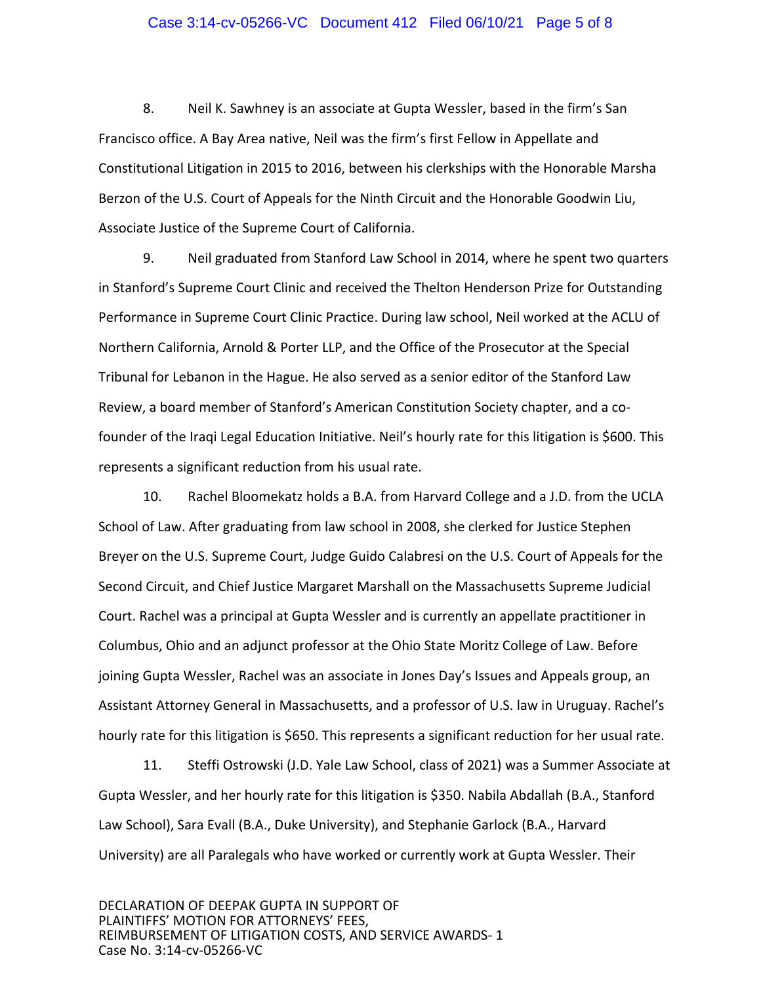### Case 3:14-cv-05266-VC Document 412 Filed 06/10/21 Page 5 of 8

8. Neil K. Sawhney is an associate at Gupta Wessler, based in the firm's San Francisco office. A Bay Area native, Neil was the firm's first Fellow in Appellate and Constitutional Litigation in 2015 to 2016, between his clerkships with the Honorable Marsha Berzon of the U.S. Court of Appeals for the Ninth Circuit and the Honorable Goodwin Liu, Associate Justice of the Supreme Court of California.

9. Neil graduated from Stanford Law School in 2014, where he spent two quarters in Stanford's Supreme Court Clinic and received the Thelton Henderson Prize for Outstanding Performance in Supreme Court Clinic Practice. During law school, Neil worked at the ACLU of Northern California, Arnold & Porter LLP, and the Office of the Prosecutor at the Special Tribunal for Lebanon in the Hague. He also served as a senior editor of the Stanford Law Review, a board member of Stanford's American Constitution Society chapter, and a co‐ founder of the Iraqi Legal Education Initiative. Neil's hourly rate for this litigation is \$600. This represents a significant reduction from his usual rate.

10. Rachel Bloomekatz holds a B.A. from Harvard College and a J.D. from the UCLA School of Law. After graduating from law school in 2008, she clerked for Justice Stephen Breyer on the U.S. Supreme Court, Judge Guido Calabresi on the U.S. Court of Appeals for the Second Circuit, and Chief Justice Margaret Marshall on the Massachusetts Supreme Judicial Court. Rachel was a principal at Gupta Wessler and is currently an appellate practitioner in Columbus, Ohio and an adjunct professor at the Ohio State Moritz College of Law. Before joining Gupta Wessler, Rachel was an associate in Jones Day's Issues and Appeals group, an Assistant Attorney General in Massachusetts, and a professor of U.S. law in Uruguay. Rachel's hourly rate for this litigation is \$650. This represents a significant reduction for her usual rate.

11. Steffi Ostrowski (J.D. Yale Law School, class of 2021) was a Summer Associate at Gupta Wessler, and her hourly rate for this litigation is \$350. Nabila Abdallah (B.A., Stanford Law School), Sara Evall (B.A., Duke University), and Stephanie Garlock (B.A., Harvard University) are all Paralegals who have worked or currently work at Gupta Wessler. Their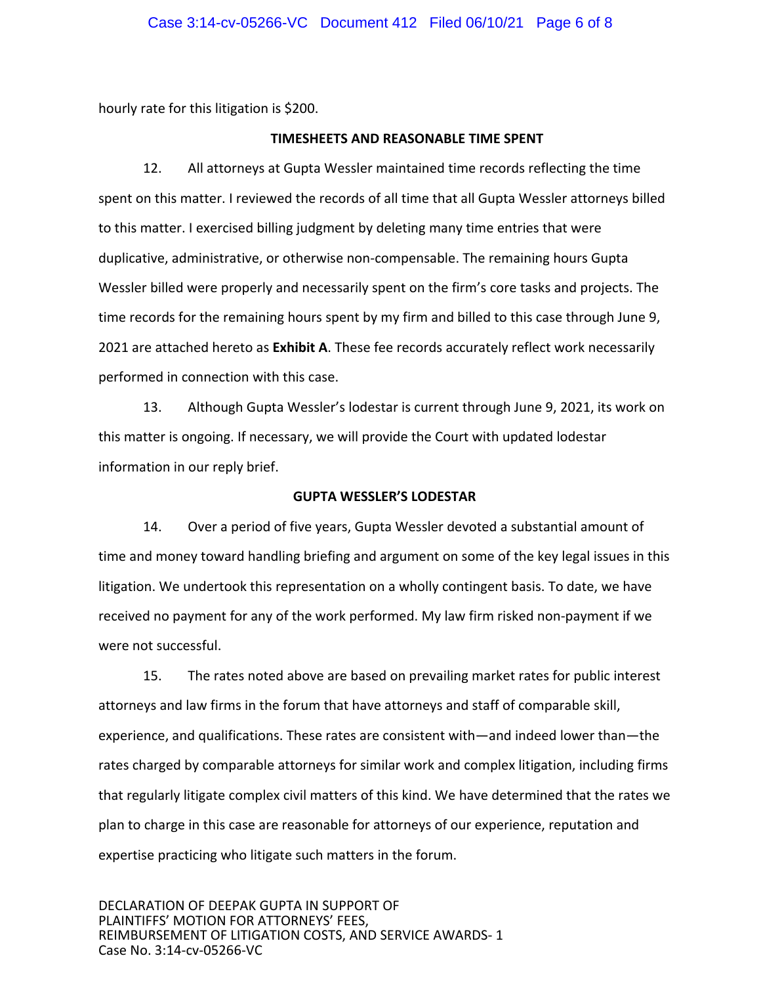hourly rate for this litigation is \$200.

### **TIMESHEETS AND REASONABLE TIME SPENT**

12. All attorneys at Gupta Wessler maintained time records reflecting the time spent on this matter. I reviewed the records of all time that all Gupta Wessler attorneys billed to this matter. I exercised billing judgment by deleting many time entries that were duplicative, administrative, or otherwise non‐compensable. The remaining hours Gupta Wessler billed were properly and necessarily spent on the firm's core tasks and projects. The time records for the remaining hours spent by my firm and billed to this case through June 9, 2021 are attached hereto as **Exhibit A**. These fee records accurately reflect work necessarily performed in connection with this case.

13. Although Gupta Wessler's lodestar is current through June 9, 2021, its work on this matter is ongoing. If necessary, we will provide the Court with updated lodestar information in our reply brief.

### **GUPTA WESSLER'S LODESTAR**

14. Over a period of five years, Gupta Wessler devoted a substantial amount of time and money toward handling briefing and argument on some of the key legal issues in this litigation. We undertook this representation on a wholly contingent basis. To date, we have received no payment for any of the work performed. My law firm risked non‐payment if we were not successful.

15. The rates noted above are based on prevailing market rates for public interest attorneys and law firms in the forum that have attorneys and staff of comparable skill, experience, and qualifications. These rates are consistent with—and indeed lower than—the rates charged by comparable attorneys for similar work and complex litigation, including firms that regularly litigate complex civil matters of this kind. We have determined that the rates we plan to charge in this case are reasonable for attorneys of our experience, reputation and expertise practicing who litigate such matters in the forum.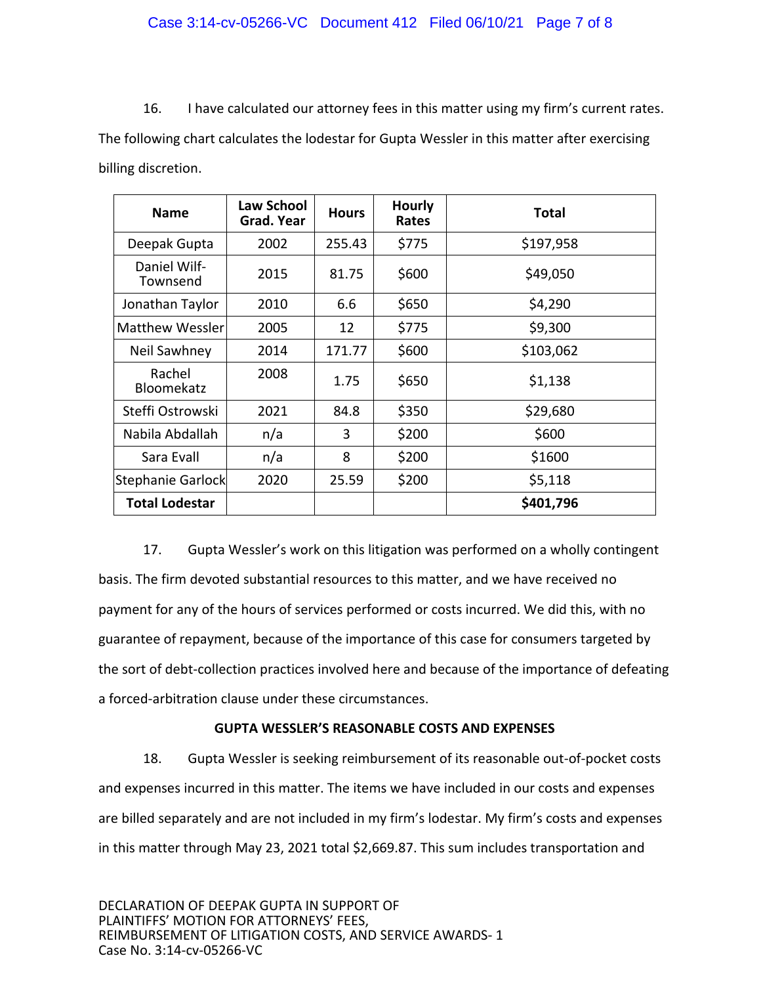16. I have calculated our attorney fees in this matter using my firm's current rates. The following chart calculates the lodestar for Gupta Wessler in this matter after exercising billing discretion.

| <b>Name</b>                 | <b>Law School</b><br>Grad. Year | <b>Hours</b> | <b>Hourly</b><br>Rates | <b>Total</b> |
|-----------------------------|---------------------------------|--------------|------------------------|--------------|
| Deepak Gupta                | 2002                            | 255.43       | \$775                  | \$197,958    |
| Daniel Wilf-<br>Townsend    | 2015                            | 81.75        | \$600                  | \$49,050     |
| Jonathan Taylor             | 2010                            | 6.6          | \$650                  | \$4,290      |
| Matthew Wessler             | 2005                            | 12           | \$775                  | \$9,300      |
| Neil Sawhney                | 2014                            | 171.77       | \$600                  | \$103,062    |
| Rachel<br><b>Bloomekatz</b> | 2008                            | 1.75         | \$650                  | \$1,138      |
| Steffi Ostrowski            | 2021                            | 84.8         | \$350                  | \$29,680     |
| Nabila Abdallah             | n/a                             | 3            | \$200                  | \$600        |
| Sara Evall                  | n/a                             | 8            | \$200                  | \$1600       |
| Stephanie Garlock           | 2020                            | 25.59        | \$200                  | \$5,118      |
| <b>Total Lodestar</b>       |                                 |              |                        | \$401,796    |

17. Gupta Wessler's work on this litigation was performed on a wholly contingent basis. The firm devoted substantial resources to this matter, and we have received no payment for any of the hours of services performed or costs incurred. We did this, with no guarantee of repayment, because of the importance of this case for consumers targeted by the sort of debt‐collection practices involved here and because of the importance of defeating a forced‐arbitration clause under these circumstances.

### **GUPTA WESSLER'S REASONABLE COSTS AND EXPENSES**

18. Gupta Wessler is seeking reimbursement of its reasonable out‐of‐pocket costs and expenses incurred in this matter. The items we have included in our costs and expenses are billed separately and are not included in my firm's lodestar. My firm's costs and expenses in this matter through May 23, 2021 total \$2,669.87. This sum includes transportation and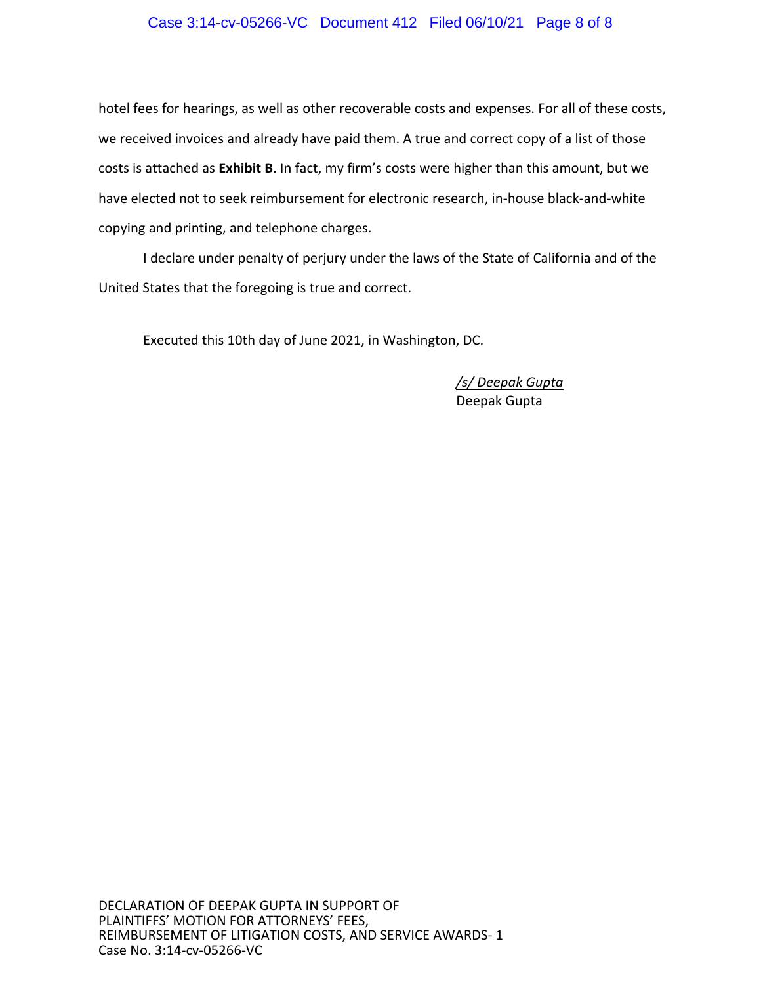### Case 3:14-cv-05266-VC Document 412 Filed 06/10/21 Page 8 of 8

hotel fees for hearings, as well as other recoverable costs and expenses. For all of these costs, we received invoices and already have paid them. A true and correct copy of a list of those costs is attached as **Exhibit B**. In fact, my firm's costs were higher than this amount, but we have elected not to seek reimbursement for electronic research, in‐house black‐and‐white copying and printing, and telephone charges.

I declare under penalty of perjury under the laws of the State of California and of the United States that the foregoing is true and correct.

Executed this 10th day of June 2021, in Washington, DC.

*/s/ Deepak Gupta*  Deepak Gupta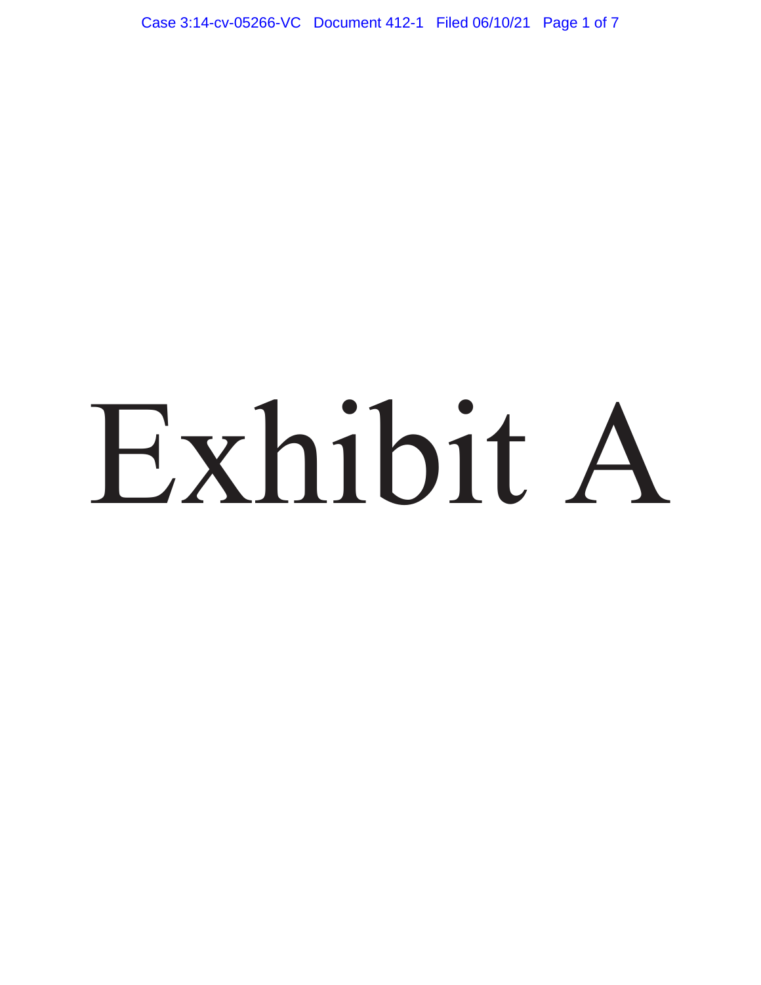Case 3:14-cv-05266-VC Document 412-1 Filed 06/10/21 Page 1 of 7

# Exhibit A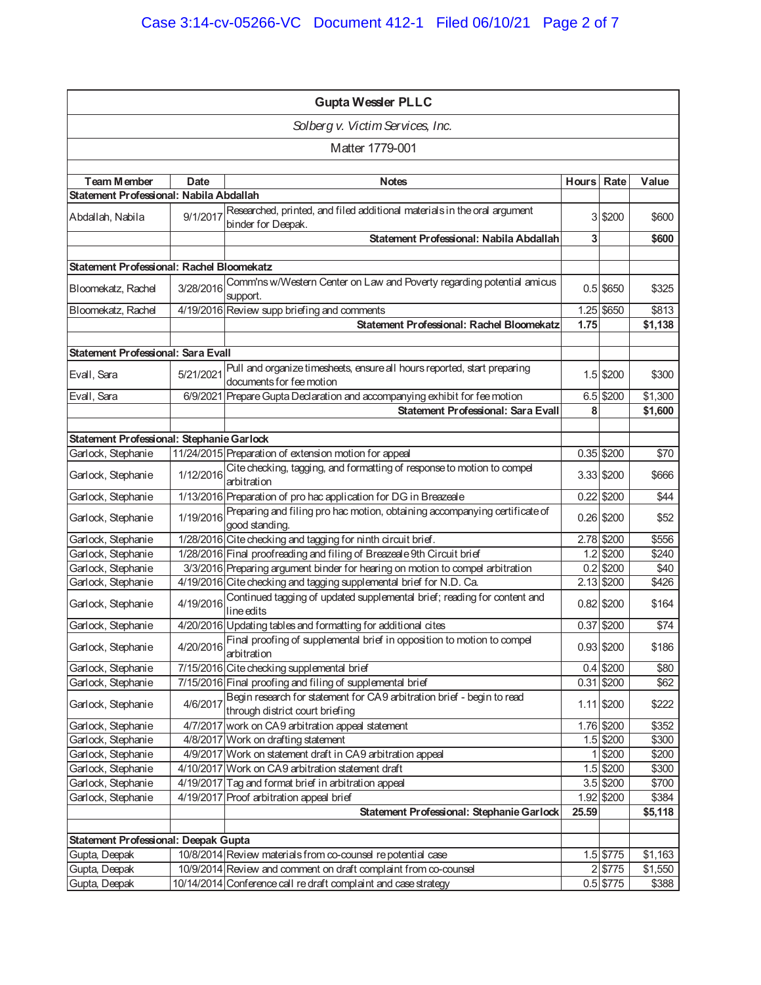| <b>Gupta Wessler PLLC</b>                   |             |                                                                                                           |            |              |         |
|---------------------------------------------|-------------|-----------------------------------------------------------------------------------------------------------|------------|--------------|---------|
|                                             |             | Solberg v. Victim Services, Inc.                                                                          |            |              |         |
|                                             |             | Matter 1779-001                                                                                           |            |              |         |
| <b>Team Member</b>                          | <b>Date</b> | <b>Notes</b>                                                                                              | Hours Rate |              | Value   |
| Statement Professional: Nabila Abdallah     |             |                                                                                                           |            |              |         |
| Abdallah, Nabila                            | 9/1/2017    | Researched, printed, and filed additional materials in the oral argument<br>binder for Deepak.            |            | 3 \$200      | \$600   |
|                                             |             | Statement Professional: Nabila Abdallah                                                                   | 3          |              | \$600   |
| Statement Professional: Rachel Bloomekatz   |             |                                                                                                           |            |              |         |
| Bloomekatz, Rachel                          | 3/28/2016   | Comm'ns w/Western Center on Law and Poverty regarding potential amicus<br>support.                        |            | $0.5$ \$650  | \$325   |
| Bloomekatz, Rachel                          |             | 4/19/2016 Review supp briefing and comments                                                               |            | 1.25 \$650   | \$813   |
|                                             |             | <b>Statement Professional: Rachel Bloomekatz</b>                                                          | 1.75       |              | \$1,138 |
|                                             |             |                                                                                                           |            |              |         |
| Statement Professional: Sara Evall          |             |                                                                                                           |            |              |         |
| Evall, Sara                                 | 5/21/2021   | Pull and organize timesheets, ensure all hours reported, start preparing<br>documents for fee motion      |            | 1.5 \$200    | \$300   |
| Evall, Sara                                 |             | 6/9/2021 Prepare Gupta Declaration and accompanying exhibit for fee motion                                |            | 6.5 \$200    | \$1,300 |
|                                             |             | <b>Statement Professional: Sara Evall</b>                                                                 | 8          |              | \$1,600 |
|                                             |             |                                                                                                           |            |              |         |
| Statement Professional: Stephanie Garlock   |             |                                                                                                           |            |              |         |
| Garlock, Stephanie                          |             | 11/24/2015 Preparation of extension motion for appeal                                                     |            | $0.35$ \$200 | \$70    |
| Garlock, Stephanie                          | 1/12/2016   | Cite checking, tagging, and formatting of response to motion to compel<br>arbitration                     |            | 3.33 \$200   | \$666   |
| Garlock, Stephanie                          |             | 1/13/2016 Preparation of pro hac application for DG in Breazeale                                          |            | $0.22$ \$200 | \$44    |
| Garlock, Stephanie                          | 1/19/2016   | Preparing and filing pro hac motion, obtaining accompanying certificate of<br>good standing.              |            | 0.26 \$200   | \$52    |
| Garlock, Stephanie                          |             | 1/28/2016 Cite checking and tagging for ninth circuit brief.                                              |            | 2.78 \$200   | \$556   |
| Garlock, Stephanie                          |             | 1/28/2016 Final proofreading and filing of Breazeale 9th Circuit brief                                    |            | 1.2 \$200    | \$240   |
| Garlock, Stephanie                          |             | 3/3/2016 Preparing argument binder for hearing on motion to compel arbitration                            |            | $0.2$ \$200  | \$40    |
| Garlock, Stephanie                          |             | 4/19/2016 Cite checking and tagging supplemental brief for N.D. Ca.                                       |            | 2.13 \$200   | \$426   |
| Garlock, Stephanie                          | 4/19/2016   | Continued tagging of updated supplemental brief; reading for content and<br>line edits                    |            | $0.82$ \$200 | \$164   |
| Garlock, Stephanie                          |             | 4/20/2016 Updating tables and formatting for additional cites                                             |            | 0.37 \$200   | \$74    |
| Garlock, Stephanie                          | 4/20/2016   | Final proofing of supplemental brief in opposition to motion to compel<br>arbitration                     |            | 0.93 \$200   | \$186   |
| Garlock, Stephanie                          |             | 7/15/2016 Cite checking supplemental brief                                                                |            | 0.4 \$200    | \$80    |
| Garlock, Stephanie                          |             | 7/15/2016 Final proofing and filing of supplemental brief                                                 |            | $0.31$ \$200 | \$62    |
| Garlock, Stephanie                          | 4/6/2017    | Begin research for statement for CA9 arbitration brief - begin to read<br>through district court briefing |            | $1.11$ \$200 | \$222   |
| Garlock, Stephanie                          |             | 4/7/2017 work on CA9 arbitration appeal statement                                                         |            | 1.76 \$200   | \$352   |
| Garlock, Stephanie                          |             | 4/8/2017 Work on drafting statement                                                                       |            | 1.5 \$200    | \$300   |
| Garlock, Stephanie                          |             | 4/9/2017 Work on statement draft in CA9 arbitration appeal                                                | 1          | \$200        | \$200   |
| Garlock, Stephanie                          |             | 4/10/2017 Work on CA9 arbitration statement draft                                                         |            | 1.5 \$200    | \$300   |
| Garlock, Stephanie                          |             | 4/19/2017 Tag and format brief in arbitration appeal                                                      |            | 3.5 \$200    | \$700   |
| Garlock, Stephanie                          |             | 4/19/2017 Proof arbitration appeal brief                                                                  |            | 1.92 \$200   | \$384   |
|                                             |             | Statement Professional: Stephanie Garlock                                                                 | 25.59      |              | \$5,118 |
|                                             |             |                                                                                                           |            |              |         |
| <b>Statement Professional: Deepak Gupta</b> |             |                                                                                                           |            |              |         |
| Gupta, Deepak                               |             | 10/8/2014 Review materials from co-counsel repotential case                                               |            | 1.5 \$775    | \$1,163 |
| Gupta, Deepak                               |             | 10/9/2014 Review and comment on draft complaint from co-counsel                                           |            | 2 \$775      | \$1,550 |
| Gupta, Deepak                               |             | 10/14/2014 Conference call re draft complaint and case strategy                                           |            | 0.5 \$775    | \$388   |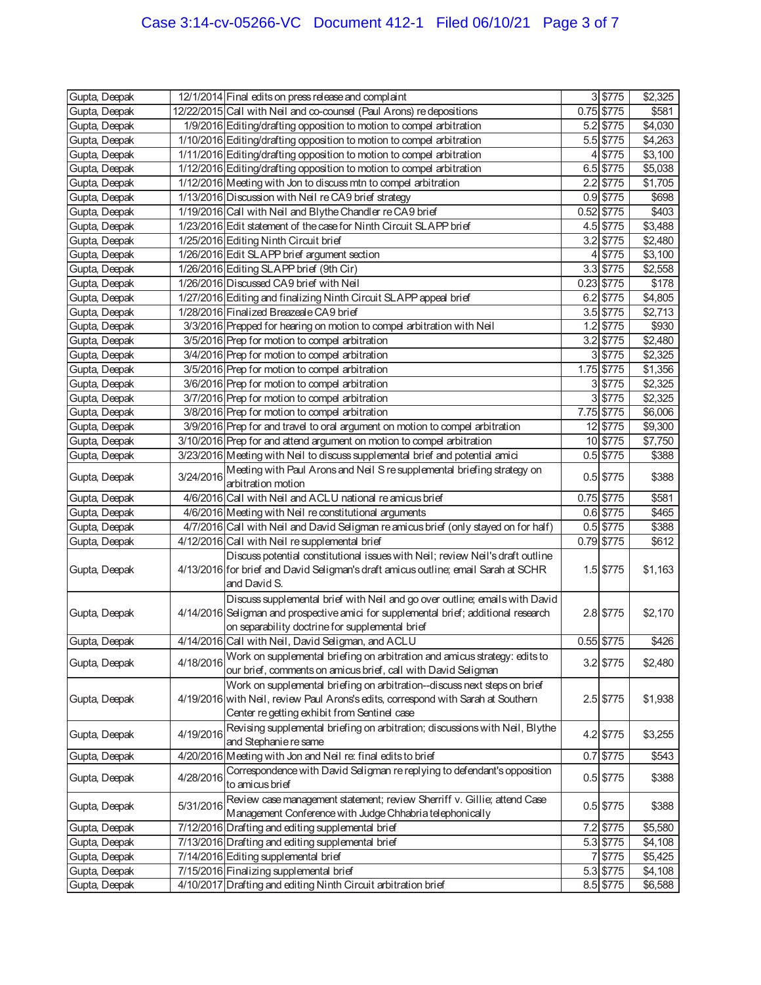| 3 \$775<br>Gupta, Deepak<br>12/1/2014 Final edits on press release and complaint<br>$0.75$ \$775<br>12/22/2015 Call with Neil and co-counsel (Paul Arons) redepositions<br>\$581<br>Gupta, Deepak<br>1/9/2016 Editing/drafting opposition to motion to compel arbitration<br>Gupta, Deepak<br>$5.2$ \$775<br>\$4,030<br>1/10/2016 Editing/drafting opposition to motion to compel arbitration<br>Gupta, Deepak<br>$5.5$ \$775<br>\$4,263<br>1/11/2016 Editing/drafting opposition to motion to compel arbitration<br>Gupta, Deepak<br>4 \$775<br>\$3,100<br>1/12/2016 Editing/drafting opposition to motion to compel arbitration<br>6.5 \$775<br>\$5,038<br>Gupta, Deepak<br>$2.2$ \$775<br>1/12/2016 Meeting with Jon to discuss mtn to compel arbitration<br>\$1,705<br>Gupta, Deepak<br>0.9 \$775<br>1/13/2016 Discussion with Neil re CA9 brief strategy<br>\$698<br>Gupta, Deepak<br>1/19/2016 Call with Neil and Blythe Chandler re CA9 brief<br>0.52 \$775<br>\$403<br>Gupta, Deepak<br>1/23/2016 Edit statement of the case for Ninth Circuit SLAPP brief<br>4.5 \$775<br>\$3,488<br>Gupta, Deepak<br>1/25/2016 Editing Ninth Circuit brief<br>\$2,480<br>Gupta, Deepak<br>$3.2$ \$775<br>1/26/2016 Edit SLAPP brief argument section<br>4 \$775<br>\$3,100<br>Gupta, Deepak<br>1/26/2016 Editing SLAPP brief (9th Cir)<br>3.3 \$775<br>\$2,558<br>Gupta, Deepak<br>\$178<br>Gupta, Deepak<br>1/26/2016 Discussed CA9 brief with Neil<br>$0.23$ \$775<br>1/27/2016 Editing and finalizing Ninth Circuit SLAPP appeal brief<br>$6.2$ \$775<br>\$4,805<br>Gupta, Deepak<br>1/28/2016 Finalized Breazeale CA9 brief<br>Gupta, Deepak<br>$3.5$ \$775<br>\$2,713<br>3/3/2016 Prepped for hearing on motion to compel arbitration with Neil<br>\$930<br>Gupta, Deepak<br>$1.2$ \$775<br>3/5/2016 Prep for motion to compel arbitration<br>\$2,480<br>Gupta, Deepak<br>$3.2$ \$775<br>3 \$775<br>3/4/2016 Prep for motion to compel arbitration<br>\$2,325<br>Gupta, Deepak<br>1.75 \$775<br>\$1,356<br>Gupta, Deepak<br>3/5/2016 Prep for motion to compel arbitration<br>3/6/2016 Prep for motion to compel arbitration<br>3 \$775<br>\$2,325<br>Gupta, Deepak<br>$3$ \$775<br>\$2,325<br>3/7/2016 Prep for motion to compel arbitration<br>Gupta, Deepak<br>3/8/2016 Prep for motion to compel arbitration<br>7.75 \$775<br>\$6,006<br>Gupta, Deepak<br>3/9/2016 Prep for and travel to oral argument on motion to compel arbitration<br>12 \$775<br>\$9,300<br>Gupta, Deepak<br>3/10/2016 Prep for and attend argument on motion to compel arbitration<br>10 \$775<br>\$7,750<br>Gupta, Deepak<br>3/23/2016 Meeting with Neil to discuss supplemental brief and potential amici<br>$0.5$ \$775<br>\$388<br>Gupta, Deepak<br>Meeting with Paul Arons and Neil S re supplemental briefing strategy on<br>3/24/2016<br>\$388<br>0.5 \$775<br>Gupta, Deepak<br>arbitration motion<br>4/6/2016 Call with Neil and ACLU national reamicus brief<br>0.75 \$775<br>\$581<br>Gupta, Deepak<br>Gupta, Deepak<br>4/6/2016 Meeting with Neil re constitutional arguments<br>0.6 \$775<br>\$465<br>4/7/2016 Call with Neil and David Seligman re amicus brief (only stayed on for half)<br>$0.5$ \$775<br>Gupta, Deepak<br>\$388<br>0.79 \$775<br>4/12/2016 Call with Neil re supplemental brief<br>Gupta, Deepak<br>\$612<br>Discuss potential constitutional issues with Neil; review Neil's draft outline<br>4/13/2016 for brief and David Seligman's draft amicus outline; email Sarah at SCHR<br>1.5 \$775<br>\$1,163<br>Gupta, Deepak<br>and David S.<br>Discuss supplemental brief with Neil and go over outline; emails with David<br>4/14/2016 Seligman and prospective amici for supplemental brief; additional research<br>2.8 \$775<br>Gupta, Deepak<br>\$2,170<br>on separability doctrine for supplemental brief<br>4/14/2016 Call with Neil, David Seligman, and ACLU<br>$0.55$ \$775<br>\$426<br>Work on supplemental briefing on arbitration and amicus strategy: edits to<br>3.2 \$775<br>\$2,480<br>Gupta, Deepak<br>4/18/2016<br>our brief, comments on amicus brief, call with David Seligman<br>Work on supplemental briefing on arbitration--discuss next steps on brief<br>4/19/2016 with Neil, review Paul Arons's edits, correspond with Sarah at Southern<br>2.5 \$775<br>\$1,938<br>Gupta, Deepak<br>Center re getting exhibit from Sentinel case<br>Revising supplemental briefing on arbitration; discussions with Neil, Blythe<br>4/19/2016<br>4.2 \$775<br>\$3,255<br>Gupta, Deepak<br>and Stephanie re same<br>4/20/2016 Meeting with Jon and Neil re: final edits to brief<br>$0.7$ \$775<br>\$543<br>Gupta, Deepak<br>Correspondence with David Seligman re replying to defendant's opposition<br>4/28/2016<br>0.5 \$775<br>\$388<br>Gupta, Deepak<br>to amicus brief<br>Review case management statement; review Sherriff v. Gillie; attend Case<br>5/31/2016<br>$0.5$ \$775<br>\$388<br>Gupta, Deepak<br>Management Conference with Judge Chhabria telephonically<br>7/12/2016 Drafting and editing supplemental brief<br>7.2 \$775<br>\$5,580<br>Gupta, Deepak<br>7/13/2016 Drafting and editing supplemental brief<br>5.3 \$775<br>\$4,108<br>Gupta, Deepak<br>7/14/2016 Editing supplemental brief<br>Gupta, Deepak<br>7 \$775<br>\$5,425<br>7/15/2016 Finalizing supplemental brief<br>Gupta, Deepak<br>5.3 \$775<br>\$4,108<br>4/10/2017 Drafting and editing Ninth Circuit arbitration brief<br>Gupta, Deepak<br>8.5 \$775<br>\$6,588 |               |  |  | \$2,325 |
|---------------------------------------------------------------------------------------------------------------------------------------------------------------------------------------------------------------------------------------------------------------------------------------------------------------------------------------------------------------------------------------------------------------------------------------------------------------------------------------------------------------------------------------------------------------------------------------------------------------------------------------------------------------------------------------------------------------------------------------------------------------------------------------------------------------------------------------------------------------------------------------------------------------------------------------------------------------------------------------------------------------------------------------------------------------------------------------------------------------------------------------------------------------------------------------------------------------------------------------------------------------------------------------------------------------------------------------------------------------------------------------------------------------------------------------------------------------------------------------------------------------------------------------------------------------------------------------------------------------------------------------------------------------------------------------------------------------------------------------------------------------------------------------------------------------------------------------------------------------------------------------------------------------------------------------------------------------------------------------------------------------------------------------------------------------------------------------------------------------------------------------------------------------------------------------------------------------------------------------------------------------------------------------------------------------------------------------------------------------------------------------------------------------------------------------------------------------------------------------------------------------------------------------------------------------------------------------------------------------------------------------------------------------------------------------------------------------------------------------------------------------------------------------------------------------------------------------------------------------------------------------------------------------------------------------------------------------------------------------------------------------------------------------------------------------------------------------------------------------------------------------------------------------------------------------------------------------------------------------------------------------------------------------------------------------------------------------------------------------------------------------------------------------------------------------------------------------------------------------------------------------------------------------------------------------------------------------------------------------------------------------------------------------------------------------------------------------------------------------------------------------------------------------------------------------------------------------------------------------------------------------------------------------------------------------------------------------------------------------------------------------------------------------------------------------------------------------------------------------------------------------------------------------------------------------------------------------------------------------------------------------------------------------------------------------------------------------------------------------------------------------------------------------------------------------------------------------------------------------------------------------------------------------------------------------------------------------------------------------------------------------------------------------------------------------------------------------------------------------------------------------------------------------------------------------------------------------------------------------------------------------------------------------------------------------------------------------------------------------------------------------------------------------------------------------------------------------------------------------------------------------------------------------------------------------------------------------------------------------------------------------------------------------------------------------------------------------------------------------------------------------------------------------------------------------------------------------------------|---------------|--|--|---------|
|                                                                                                                                                                                                                                                                                                                                                                                                                                                                                                                                                                                                                                                                                                                                                                                                                                                                                                                                                                                                                                                                                                                                                                                                                                                                                                                                                                                                                                                                                                                                                                                                                                                                                                                                                                                                                                                                                                                                                                                                                                                                                                                                                                                                                                                                                                                                                                                                                                                                                                                                                                                                                                                                                                                                                                                                                                                                                                                                                                                                                                                                                                                                                                                                                                                                                                                                                                                                                                                                                                                                                                                                                                                                                                                                                                                                                                                                                                                                                                                                                                                                                                                                                                                                                                                                                                                                                                                                                                                                                                                                                                                                                                                                                                                                                                                                                                                                                                                                                                                                                                                                                                                                                                                                                                                                                                                                                                                                                                                                           |               |  |  |         |
|                                                                                                                                                                                                                                                                                                                                                                                                                                                                                                                                                                                                                                                                                                                                                                                                                                                                                                                                                                                                                                                                                                                                                                                                                                                                                                                                                                                                                                                                                                                                                                                                                                                                                                                                                                                                                                                                                                                                                                                                                                                                                                                                                                                                                                                                                                                                                                                                                                                                                                                                                                                                                                                                                                                                                                                                                                                                                                                                                                                                                                                                                                                                                                                                                                                                                                                                                                                                                                                                                                                                                                                                                                                                                                                                                                                                                                                                                                                                                                                                                                                                                                                                                                                                                                                                                                                                                                                                                                                                                                                                                                                                                                                                                                                                                                                                                                                                                                                                                                                                                                                                                                                                                                                                                                                                                                                                                                                                                                                                           |               |  |  |         |
|                                                                                                                                                                                                                                                                                                                                                                                                                                                                                                                                                                                                                                                                                                                                                                                                                                                                                                                                                                                                                                                                                                                                                                                                                                                                                                                                                                                                                                                                                                                                                                                                                                                                                                                                                                                                                                                                                                                                                                                                                                                                                                                                                                                                                                                                                                                                                                                                                                                                                                                                                                                                                                                                                                                                                                                                                                                                                                                                                                                                                                                                                                                                                                                                                                                                                                                                                                                                                                                                                                                                                                                                                                                                                                                                                                                                                                                                                                                                                                                                                                                                                                                                                                                                                                                                                                                                                                                                                                                                                                                                                                                                                                                                                                                                                                                                                                                                                                                                                                                                                                                                                                                                                                                                                                                                                                                                                                                                                                                                           |               |  |  |         |
|                                                                                                                                                                                                                                                                                                                                                                                                                                                                                                                                                                                                                                                                                                                                                                                                                                                                                                                                                                                                                                                                                                                                                                                                                                                                                                                                                                                                                                                                                                                                                                                                                                                                                                                                                                                                                                                                                                                                                                                                                                                                                                                                                                                                                                                                                                                                                                                                                                                                                                                                                                                                                                                                                                                                                                                                                                                                                                                                                                                                                                                                                                                                                                                                                                                                                                                                                                                                                                                                                                                                                                                                                                                                                                                                                                                                                                                                                                                                                                                                                                                                                                                                                                                                                                                                                                                                                                                                                                                                                                                                                                                                                                                                                                                                                                                                                                                                                                                                                                                                                                                                                                                                                                                                                                                                                                                                                                                                                                                                           |               |  |  |         |
|                                                                                                                                                                                                                                                                                                                                                                                                                                                                                                                                                                                                                                                                                                                                                                                                                                                                                                                                                                                                                                                                                                                                                                                                                                                                                                                                                                                                                                                                                                                                                                                                                                                                                                                                                                                                                                                                                                                                                                                                                                                                                                                                                                                                                                                                                                                                                                                                                                                                                                                                                                                                                                                                                                                                                                                                                                                                                                                                                                                                                                                                                                                                                                                                                                                                                                                                                                                                                                                                                                                                                                                                                                                                                                                                                                                                                                                                                                                                                                                                                                                                                                                                                                                                                                                                                                                                                                                                                                                                                                                                                                                                                                                                                                                                                                                                                                                                                                                                                                                                                                                                                                                                                                                                                                                                                                                                                                                                                                                                           |               |  |  |         |
|                                                                                                                                                                                                                                                                                                                                                                                                                                                                                                                                                                                                                                                                                                                                                                                                                                                                                                                                                                                                                                                                                                                                                                                                                                                                                                                                                                                                                                                                                                                                                                                                                                                                                                                                                                                                                                                                                                                                                                                                                                                                                                                                                                                                                                                                                                                                                                                                                                                                                                                                                                                                                                                                                                                                                                                                                                                                                                                                                                                                                                                                                                                                                                                                                                                                                                                                                                                                                                                                                                                                                                                                                                                                                                                                                                                                                                                                                                                                                                                                                                                                                                                                                                                                                                                                                                                                                                                                                                                                                                                                                                                                                                                                                                                                                                                                                                                                                                                                                                                                                                                                                                                                                                                                                                                                                                                                                                                                                                                                           |               |  |  |         |
|                                                                                                                                                                                                                                                                                                                                                                                                                                                                                                                                                                                                                                                                                                                                                                                                                                                                                                                                                                                                                                                                                                                                                                                                                                                                                                                                                                                                                                                                                                                                                                                                                                                                                                                                                                                                                                                                                                                                                                                                                                                                                                                                                                                                                                                                                                                                                                                                                                                                                                                                                                                                                                                                                                                                                                                                                                                                                                                                                                                                                                                                                                                                                                                                                                                                                                                                                                                                                                                                                                                                                                                                                                                                                                                                                                                                                                                                                                                                                                                                                                                                                                                                                                                                                                                                                                                                                                                                                                                                                                                                                                                                                                                                                                                                                                                                                                                                                                                                                                                                                                                                                                                                                                                                                                                                                                                                                                                                                                                                           |               |  |  |         |
|                                                                                                                                                                                                                                                                                                                                                                                                                                                                                                                                                                                                                                                                                                                                                                                                                                                                                                                                                                                                                                                                                                                                                                                                                                                                                                                                                                                                                                                                                                                                                                                                                                                                                                                                                                                                                                                                                                                                                                                                                                                                                                                                                                                                                                                                                                                                                                                                                                                                                                                                                                                                                                                                                                                                                                                                                                                                                                                                                                                                                                                                                                                                                                                                                                                                                                                                                                                                                                                                                                                                                                                                                                                                                                                                                                                                                                                                                                                                                                                                                                                                                                                                                                                                                                                                                                                                                                                                                                                                                                                                                                                                                                                                                                                                                                                                                                                                                                                                                                                                                                                                                                                                                                                                                                                                                                                                                                                                                                                                           |               |  |  |         |
|                                                                                                                                                                                                                                                                                                                                                                                                                                                                                                                                                                                                                                                                                                                                                                                                                                                                                                                                                                                                                                                                                                                                                                                                                                                                                                                                                                                                                                                                                                                                                                                                                                                                                                                                                                                                                                                                                                                                                                                                                                                                                                                                                                                                                                                                                                                                                                                                                                                                                                                                                                                                                                                                                                                                                                                                                                                                                                                                                                                                                                                                                                                                                                                                                                                                                                                                                                                                                                                                                                                                                                                                                                                                                                                                                                                                                                                                                                                                                                                                                                                                                                                                                                                                                                                                                                                                                                                                                                                                                                                                                                                                                                                                                                                                                                                                                                                                                                                                                                                                                                                                                                                                                                                                                                                                                                                                                                                                                                                                           |               |  |  |         |
|                                                                                                                                                                                                                                                                                                                                                                                                                                                                                                                                                                                                                                                                                                                                                                                                                                                                                                                                                                                                                                                                                                                                                                                                                                                                                                                                                                                                                                                                                                                                                                                                                                                                                                                                                                                                                                                                                                                                                                                                                                                                                                                                                                                                                                                                                                                                                                                                                                                                                                                                                                                                                                                                                                                                                                                                                                                                                                                                                                                                                                                                                                                                                                                                                                                                                                                                                                                                                                                                                                                                                                                                                                                                                                                                                                                                                                                                                                                                                                                                                                                                                                                                                                                                                                                                                                                                                                                                                                                                                                                                                                                                                                                                                                                                                                                                                                                                                                                                                                                                                                                                                                                                                                                                                                                                                                                                                                                                                                                                           |               |  |  |         |
|                                                                                                                                                                                                                                                                                                                                                                                                                                                                                                                                                                                                                                                                                                                                                                                                                                                                                                                                                                                                                                                                                                                                                                                                                                                                                                                                                                                                                                                                                                                                                                                                                                                                                                                                                                                                                                                                                                                                                                                                                                                                                                                                                                                                                                                                                                                                                                                                                                                                                                                                                                                                                                                                                                                                                                                                                                                                                                                                                                                                                                                                                                                                                                                                                                                                                                                                                                                                                                                                                                                                                                                                                                                                                                                                                                                                                                                                                                                                                                                                                                                                                                                                                                                                                                                                                                                                                                                                                                                                                                                                                                                                                                                                                                                                                                                                                                                                                                                                                                                                                                                                                                                                                                                                                                                                                                                                                                                                                                                                           |               |  |  |         |
|                                                                                                                                                                                                                                                                                                                                                                                                                                                                                                                                                                                                                                                                                                                                                                                                                                                                                                                                                                                                                                                                                                                                                                                                                                                                                                                                                                                                                                                                                                                                                                                                                                                                                                                                                                                                                                                                                                                                                                                                                                                                                                                                                                                                                                                                                                                                                                                                                                                                                                                                                                                                                                                                                                                                                                                                                                                                                                                                                                                                                                                                                                                                                                                                                                                                                                                                                                                                                                                                                                                                                                                                                                                                                                                                                                                                                                                                                                                                                                                                                                                                                                                                                                                                                                                                                                                                                                                                                                                                                                                                                                                                                                                                                                                                                                                                                                                                                                                                                                                                                                                                                                                                                                                                                                                                                                                                                                                                                                                                           |               |  |  |         |
|                                                                                                                                                                                                                                                                                                                                                                                                                                                                                                                                                                                                                                                                                                                                                                                                                                                                                                                                                                                                                                                                                                                                                                                                                                                                                                                                                                                                                                                                                                                                                                                                                                                                                                                                                                                                                                                                                                                                                                                                                                                                                                                                                                                                                                                                                                                                                                                                                                                                                                                                                                                                                                                                                                                                                                                                                                                                                                                                                                                                                                                                                                                                                                                                                                                                                                                                                                                                                                                                                                                                                                                                                                                                                                                                                                                                                                                                                                                                                                                                                                                                                                                                                                                                                                                                                                                                                                                                                                                                                                                                                                                                                                                                                                                                                                                                                                                                                                                                                                                                                                                                                                                                                                                                                                                                                                                                                                                                                                                                           |               |  |  |         |
|                                                                                                                                                                                                                                                                                                                                                                                                                                                                                                                                                                                                                                                                                                                                                                                                                                                                                                                                                                                                                                                                                                                                                                                                                                                                                                                                                                                                                                                                                                                                                                                                                                                                                                                                                                                                                                                                                                                                                                                                                                                                                                                                                                                                                                                                                                                                                                                                                                                                                                                                                                                                                                                                                                                                                                                                                                                                                                                                                                                                                                                                                                                                                                                                                                                                                                                                                                                                                                                                                                                                                                                                                                                                                                                                                                                                                                                                                                                                                                                                                                                                                                                                                                                                                                                                                                                                                                                                                                                                                                                                                                                                                                                                                                                                                                                                                                                                                                                                                                                                                                                                                                                                                                                                                                                                                                                                                                                                                                                                           |               |  |  |         |
|                                                                                                                                                                                                                                                                                                                                                                                                                                                                                                                                                                                                                                                                                                                                                                                                                                                                                                                                                                                                                                                                                                                                                                                                                                                                                                                                                                                                                                                                                                                                                                                                                                                                                                                                                                                                                                                                                                                                                                                                                                                                                                                                                                                                                                                                                                                                                                                                                                                                                                                                                                                                                                                                                                                                                                                                                                                                                                                                                                                                                                                                                                                                                                                                                                                                                                                                                                                                                                                                                                                                                                                                                                                                                                                                                                                                                                                                                                                                                                                                                                                                                                                                                                                                                                                                                                                                                                                                                                                                                                                                                                                                                                                                                                                                                                                                                                                                                                                                                                                                                                                                                                                                                                                                                                                                                                                                                                                                                                                                           |               |  |  |         |
|                                                                                                                                                                                                                                                                                                                                                                                                                                                                                                                                                                                                                                                                                                                                                                                                                                                                                                                                                                                                                                                                                                                                                                                                                                                                                                                                                                                                                                                                                                                                                                                                                                                                                                                                                                                                                                                                                                                                                                                                                                                                                                                                                                                                                                                                                                                                                                                                                                                                                                                                                                                                                                                                                                                                                                                                                                                                                                                                                                                                                                                                                                                                                                                                                                                                                                                                                                                                                                                                                                                                                                                                                                                                                                                                                                                                                                                                                                                                                                                                                                                                                                                                                                                                                                                                                                                                                                                                                                                                                                                                                                                                                                                                                                                                                                                                                                                                                                                                                                                                                                                                                                                                                                                                                                                                                                                                                                                                                                                                           |               |  |  |         |
|                                                                                                                                                                                                                                                                                                                                                                                                                                                                                                                                                                                                                                                                                                                                                                                                                                                                                                                                                                                                                                                                                                                                                                                                                                                                                                                                                                                                                                                                                                                                                                                                                                                                                                                                                                                                                                                                                                                                                                                                                                                                                                                                                                                                                                                                                                                                                                                                                                                                                                                                                                                                                                                                                                                                                                                                                                                                                                                                                                                                                                                                                                                                                                                                                                                                                                                                                                                                                                                                                                                                                                                                                                                                                                                                                                                                                                                                                                                                                                                                                                                                                                                                                                                                                                                                                                                                                                                                                                                                                                                                                                                                                                                                                                                                                                                                                                                                                                                                                                                                                                                                                                                                                                                                                                                                                                                                                                                                                                                                           |               |  |  |         |
|                                                                                                                                                                                                                                                                                                                                                                                                                                                                                                                                                                                                                                                                                                                                                                                                                                                                                                                                                                                                                                                                                                                                                                                                                                                                                                                                                                                                                                                                                                                                                                                                                                                                                                                                                                                                                                                                                                                                                                                                                                                                                                                                                                                                                                                                                                                                                                                                                                                                                                                                                                                                                                                                                                                                                                                                                                                                                                                                                                                                                                                                                                                                                                                                                                                                                                                                                                                                                                                                                                                                                                                                                                                                                                                                                                                                                                                                                                                                                                                                                                                                                                                                                                                                                                                                                                                                                                                                                                                                                                                                                                                                                                                                                                                                                                                                                                                                                                                                                                                                                                                                                                                                                                                                                                                                                                                                                                                                                                                                           |               |  |  |         |
|                                                                                                                                                                                                                                                                                                                                                                                                                                                                                                                                                                                                                                                                                                                                                                                                                                                                                                                                                                                                                                                                                                                                                                                                                                                                                                                                                                                                                                                                                                                                                                                                                                                                                                                                                                                                                                                                                                                                                                                                                                                                                                                                                                                                                                                                                                                                                                                                                                                                                                                                                                                                                                                                                                                                                                                                                                                                                                                                                                                                                                                                                                                                                                                                                                                                                                                                                                                                                                                                                                                                                                                                                                                                                                                                                                                                                                                                                                                                                                                                                                                                                                                                                                                                                                                                                                                                                                                                                                                                                                                                                                                                                                                                                                                                                                                                                                                                                                                                                                                                                                                                                                                                                                                                                                                                                                                                                                                                                                                                           |               |  |  |         |
|                                                                                                                                                                                                                                                                                                                                                                                                                                                                                                                                                                                                                                                                                                                                                                                                                                                                                                                                                                                                                                                                                                                                                                                                                                                                                                                                                                                                                                                                                                                                                                                                                                                                                                                                                                                                                                                                                                                                                                                                                                                                                                                                                                                                                                                                                                                                                                                                                                                                                                                                                                                                                                                                                                                                                                                                                                                                                                                                                                                                                                                                                                                                                                                                                                                                                                                                                                                                                                                                                                                                                                                                                                                                                                                                                                                                                                                                                                                                                                                                                                                                                                                                                                                                                                                                                                                                                                                                                                                                                                                                                                                                                                                                                                                                                                                                                                                                                                                                                                                                                                                                                                                                                                                                                                                                                                                                                                                                                                                                           |               |  |  |         |
|                                                                                                                                                                                                                                                                                                                                                                                                                                                                                                                                                                                                                                                                                                                                                                                                                                                                                                                                                                                                                                                                                                                                                                                                                                                                                                                                                                                                                                                                                                                                                                                                                                                                                                                                                                                                                                                                                                                                                                                                                                                                                                                                                                                                                                                                                                                                                                                                                                                                                                                                                                                                                                                                                                                                                                                                                                                                                                                                                                                                                                                                                                                                                                                                                                                                                                                                                                                                                                                                                                                                                                                                                                                                                                                                                                                                                                                                                                                                                                                                                                                                                                                                                                                                                                                                                                                                                                                                                                                                                                                                                                                                                                                                                                                                                                                                                                                                                                                                                                                                                                                                                                                                                                                                                                                                                                                                                                                                                                                                           |               |  |  |         |
|                                                                                                                                                                                                                                                                                                                                                                                                                                                                                                                                                                                                                                                                                                                                                                                                                                                                                                                                                                                                                                                                                                                                                                                                                                                                                                                                                                                                                                                                                                                                                                                                                                                                                                                                                                                                                                                                                                                                                                                                                                                                                                                                                                                                                                                                                                                                                                                                                                                                                                                                                                                                                                                                                                                                                                                                                                                                                                                                                                                                                                                                                                                                                                                                                                                                                                                                                                                                                                                                                                                                                                                                                                                                                                                                                                                                                                                                                                                                                                                                                                                                                                                                                                                                                                                                                                                                                                                                                                                                                                                                                                                                                                                                                                                                                                                                                                                                                                                                                                                                                                                                                                                                                                                                                                                                                                                                                                                                                                                                           |               |  |  |         |
|                                                                                                                                                                                                                                                                                                                                                                                                                                                                                                                                                                                                                                                                                                                                                                                                                                                                                                                                                                                                                                                                                                                                                                                                                                                                                                                                                                                                                                                                                                                                                                                                                                                                                                                                                                                                                                                                                                                                                                                                                                                                                                                                                                                                                                                                                                                                                                                                                                                                                                                                                                                                                                                                                                                                                                                                                                                                                                                                                                                                                                                                                                                                                                                                                                                                                                                                                                                                                                                                                                                                                                                                                                                                                                                                                                                                                                                                                                                                                                                                                                                                                                                                                                                                                                                                                                                                                                                                                                                                                                                                                                                                                                                                                                                                                                                                                                                                                                                                                                                                                                                                                                                                                                                                                                                                                                                                                                                                                                                                           |               |  |  |         |
|                                                                                                                                                                                                                                                                                                                                                                                                                                                                                                                                                                                                                                                                                                                                                                                                                                                                                                                                                                                                                                                                                                                                                                                                                                                                                                                                                                                                                                                                                                                                                                                                                                                                                                                                                                                                                                                                                                                                                                                                                                                                                                                                                                                                                                                                                                                                                                                                                                                                                                                                                                                                                                                                                                                                                                                                                                                                                                                                                                                                                                                                                                                                                                                                                                                                                                                                                                                                                                                                                                                                                                                                                                                                                                                                                                                                                                                                                                                                                                                                                                                                                                                                                                                                                                                                                                                                                                                                                                                                                                                                                                                                                                                                                                                                                                                                                                                                                                                                                                                                                                                                                                                                                                                                                                                                                                                                                                                                                                                                           |               |  |  |         |
|                                                                                                                                                                                                                                                                                                                                                                                                                                                                                                                                                                                                                                                                                                                                                                                                                                                                                                                                                                                                                                                                                                                                                                                                                                                                                                                                                                                                                                                                                                                                                                                                                                                                                                                                                                                                                                                                                                                                                                                                                                                                                                                                                                                                                                                                                                                                                                                                                                                                                                                                                                                                                                                                                                                                                                                                                                                                                                                                                                                                                                                                                                                                                                                                                                                                                                                                                                                                                                                                                                                                                                                                                                                                                                                                                                                                                                                                                                                                                                                                                                                                                                                                                                                                                                                                                                                                                                                                                                                                                                                                                                                                                                                                                                                                                                                                                                                                                                                                                                                                                                                                                                                                                                                                                                                                                                                                                                                                                                                                           |               |  |  |         |
|                                                                                                                                                                                                                                                                                                                                                                                                                                                                                                                                                                                                                                                                                                                                                                                                                                                                                                                                                                                                                                                                                                                                                                                                                                                                                                                                                                                                                                                                                                                                                                                                                                                                                                                                                                                                                                                                                                                                                                                                                                                                                                                                                                                                                                                                                                                                                                                                                                                                                                                                                                                                                                                                                                                                                                                                                                                                                                                                                                                                                                                                                                                                                                                                                                                                                                                                                                                                                                                                                                                                                                                                                                                                                                                                                                                                                                                                                                                                                                                                                                                                                                                                                                                                                                                                                                                                                                                                                                                                                                                                                                                                                                                                                                                                                                                                                                                                                                                                                                                                                                                                                                                                                                                                                                                                                                                                                                                                                                                                           |               |  |  |         |
|                                                                                                                                                                                                                                                                                                                                                                                                                                                                                                                                                                                                                                                                                                                                                                                                                                                                                                                                                                                                                                                                                                                                                                                                                                                                                                                                                                                                                                                                                                                                                                                                                                                                                                                                                                                                                                                                                                                                                                                                                                                                                                                                                                                                                                                                                                                                                                                                                                                                                                                                                                                                                                                                                                                                                                                                                                                                                                                                                                                                                                                                                                                                                                                                                                                                                                                                                                                                                                                                                                                                                                                                                                                                                                                                                                                                                                                                                                                                                                                                                                                                                                                                                                                                                                                                                                                                                                                                                                                                                                                                                                                                                                                                                                                                                                                                                                                                                                                                                                                                                                                                                                                                                                                                                                                                                                                                                                                                                                                                           |               |  |  |         |
|                                                                                                                                                                                                                                                                                                                                                                                                                                                                                                                                                                                                                                                                                                                                                                                                                                                                                                                                                                                                                                                                                                                                                                                                                                                                                                                                                                                                                                                                                                                                                                                                                                                                                                                                                                                                                                                                                                                                                                                                                                                                                                                                                                                                                                                                                                                                                                                                                                                                                                                                                                                                                                                                                                                                                                                                                                                                                                                                                                                                                                                                                                                                                                                                                                                                                                                                                                                                                                                                                                                                                                                                                                                                                                                                                                                                                                                                                                                                                                                                                                                                                                                                                                                                                                                                                                                                                                                                                                                                                                                                                                                                                                                                                                                                                                                                                                                                                                                                                                                                                                                                                                                                                                                                                                                                                                                                                                                                                                                                           |               |  |  |         |
|                                                                                                                                                                                                                                                                                                                                                                                                                                                                                                                                                                                                                                                                                                                                                                                                                                                                                                                                                                                                                                                                                                                                                                                                                                                                                                                                                                                                                                                                                                                                                                                                                                                                                                                                                                                                                                                                                                                                                                                                                                                                                                                                                                                                                                                                                                                                                                                                                                                                                                                                                                                                                                                                                                                                                                                                                                                                                                                                                                                                                                                                                                                                                                                                                                                                                                                                                                                                                                                                                                                                                                                                                                                                                                                                                                                                                                                                                                                                                                                                                                                                                                                                                                                                                                                                                                                                                                                                                                                                                                                                                                                                                                                                                                                                                                                                                                                                                                                                                                                                                                                                                                                                                                                                                                                                                                                                                                                                                                                                           |               |  |  |         |
|                                                                                                                                                                                                                                                                                                                                                                                                                                                                                                                                                                                                                                                                                                                                                                                                                                                                                                                                                                                                                                                                                                                                                                                                                                                                                                                                                                                                                                                                                                                                                                                                                                                                                                                                                                                                                                                                                                                                                                                                                                                                                                                                                                                                                                                                                                                                                                                                                                                                                                                                                                                                                                                                                                                                                                                                                                                                                                                                                                                                                                                                                                                                                                                                                                                                                                                                                                                                                                                                                                                                                                                                                                                                                                                                                                                                                                                                                                                                                                                                                                                                                                                                                                                                                                                                                                                                                                                                                                                                                                                                                                                                                                                                                                                                                                                                                                                                                                                                                                                                                                                                                                                                                                                                                                                                                                                                                                                                                                                                           |               |  |  |         |
|                                                                                                                                                                                                                                                                                                                                                                                                                                                                                                                                                                                                                                                                                                                                                                                                                                                                                                                                                                                                                                                                                                                                                                                                                                                                                                                                                                                                                                                                                                                                                                                                                                                                                                                                                                                                                                                                                                                                                                                                                                                                                                                                                                                                                                                                                                                                                                                                                                                                                                                                                                                                                                                                                                                                                                                                                                                                                                                                                                                                                                                                                                                                                                                                                                                                                                                                                                                                                                                                                                                                                                                                                                                                                                                                                                                                                                                                                                                                                                                                                                                                                                                                                                                                                                                                                                                                                                                                                                                                                                                                                                                                                                                                                                                                                                                                                                                                                                                                                                                                                                                                                                                                                                                                                                                                                                                                                                                                                                                                           |               |  |  |         |
|                                                                                                                                                                                                                                                                                                                                                                                                                                                                                                                                                                                                                                                                                                                                                                                                                                                                                                                                                                                                                                                                                                                                                                                                                                                                                                                                                                                                                                                                                                                                                                                                                                                                                                                                                                                                                                                                                                                                                                                                                                                                                                                                                                                                                                                                                                                                                                                                                                                                                                                                                                                                                                                                                                                                                                                                                                                                                                                                                                                                                                                                                                                                                                                                                                                                                                                                                                                                                                                                                                                                                                                                                                                                                                                                                                                                                                                                                                                                                                                                                                                                                                                                                                                                                                                                                                                                                                                                                                                                                                                                                                                                                                                                                                                                                                                                                                                                                                                                                                                                                                                                                                                                                                                                                                                                                                                                                                                                                                                                           |               |  |  |         |
|                                                                                                                                                                                                                                                                                                                                                                                                                                                                                                                                                                                                                                                                                                                                                                                                                                                                                                                                                                                                                                                                                                                                                                                                                                                                                                                                                                                                                                                                                                                                                                                                                                                                                                                                                                                                                                                                                                                                                                                                                                                                                                                                                                                                                                                                                                                                                                                                                                                                                                                                                                                                                                                                                                                                                                                                                                                                                                                                                                                                                                                                                                                                                                                                                                                                                                                                                                                                                                                                                                                                                                                                                                                                                                                                                                                                                                                                                                                                                                                                                                                                                                                                                                                                                                                                                                                                                                                                                                                                                                                                                                                                                                                                                                                                                                                                                                                                                                                                                                                                                                                                                                                                                                                                                                                                                                                                                                                                                                                                           |               |  |  |         |
|                                                                                                                                                                                                                                                                                                                                                                                                                                                                                                                                                                                                                                                                                                                                                                                                                                                                                                                                                                                                                                                                                                                                                                                                                                                                                                                                                                                                                                                                                                                                                                                                                                                                                                                                                                                                                                                                                                                                                                                                                                                                                                                                                                                                                                                                                                                                                                                                                                                                                                                                                                                                                                                                                                                                                                                                                                                                                                                                                                                                                                                                                                                                                                                                                                                                                                                                                                                                                                                                                                                                                                                                                                                                                                                                                                                                                                                                                                                                                                                                                                                                                                                                                                                                                                                                                                                                                                                                                                                                                                                                                                                                                                                                                                                                                                                                                                                                                                                                                                                                                                                                                                                                                                                                                                                                                                                                                                                                                                                                           |               |  |  |         |
|                                                                                                                                                                                                                                                                                                                                                                                                                                                                                                                                                                                                                                                                                                                                                                                                                                                                                                                                                                                                                                                                                                                                                                                                                                                                                                                                                                                                                                                                                                                                                                                                                                                                                                                                                                                                                                                                                                                                                                                                                                                                                                                                                                                                                                                                                                                                                                                                                                                                                                                                                                                                                                                                                                                                                                                                                                                                                                                                                                                                                                                                                                                                                                                                                                                                                                                                                                                                                                                                                                                                                                                                                                                                                                                                                                                                                                                                                                                                                                                                                                                                                                                                                                                                                                                                                                                                                                                                                                                                                                                                                                                                                                                                                                                                                                                                                                                                                                                                                                                                                                                                                                                                                                                                                                                                                                                                                                                                                                                                           |               |  |  |         |
|                                                                                                                                                                                                                                                                                                                                                                                                                                                                                                                                                                                                                                                                                                                                                                                                                                                                                                                                                                                                                                                                                                                                                                                                                                                                                                                                                                                                                                                                                                                                                                                                                                                                                                                                                                                                                                                                                                                                                                                                                                                                                                                                                                                                                                                                                                                                                                                                                                                                                                                                                                                                                                                                                                                                                                                                                                                                                                                                                                                                                                                                                                                                                                                                                                                                                                                                                                                                                                                                                                                                                                                                                                                                                                                                                                                                                                                                                                                                                                                                                                                                                                                                                                                                                                                                                                                                                                                                                                                                                                                                                                                                                                                                                                                                                                                                                                                                                                                                                                                                                                                                                                                                                                                                                                                                                                                                                                                                                                                                           | Gupta, Deepak |  |  |         |
|                                                                                                                                                                                                                                                                                                                                                                                                                                                                                                                                                                                                                                                                                                                                                                                                                                                                                                                                                                                                                                                                                                                                                                                                                                                                                                                                                                                                                                                                                                                                                                                                                                                                                                                                                                                                                                                                                                                                                                                                                                                                                                                                                                                                                                                                                                                                                                                                                                                                                                                                                                                                                                                                                                                                                                                                                                                                                                                                                                                                                                                                                                                                                                                                                                                                                                                                                                                                                                                                                                                                                                                                                                                                                                                                                                                                                                                                                                                                                                                                                                                                                                                                                                                                                                                                                                                                                                                                                                                                                                                                                                                                                                                                                                                                                                                                                                                                                                                                                                                                                                                                                                                                                                                                                                                                                                                                                                                                                                                                           |               |  |  |         |
|                                                                                                                                                                                                                                                                                                                                                                                                                                                                                                                                                                                                                                                                                                                                                                                                                                                                                                                                                                                                                                                                                                                                                                                                                                                                                                                                                                                                                                                                                                                                                                                                                                                                                                                                                                                                                                                                                                                                                                                                                                                                                                                                                                                                                                                                                                                                                                                                                                                                                                                                                                                                                                                                                                                                                                                                                                                                                                                                                                                                                                                                                                                                                                                                                                                                                                                                                                                                                                                                                                                                                                                                                                                                                                                                                                                                                                                                                                                                                                                                                                                                                                                                                                                                                                                                                                                                                                                                                                                                                                                                                                                                                                                                                                                                                                                                                                                                                                                                                                                                                                                                                                                                                                                                                                                                                                                                                                                                                                                                           |               |  |  |         |
|                                                                                                                                                                                                                                                                                                                                                                                                                                                                                                                                                                                                                                                                                                                                                                                                                                                                                                                                                                                                                                                                                                                                                                                                                                                                                                                                                                                                                                                                                                                                                                                                                                                                                                                                                                                                                                                                                                                                                                                                                                                                                                                                                                                                                                                                                                                                                                                                                                                                                                                                                                                                                                                                                                                                                                                                                                                                                                                                                                                                                                                                                                                                                                                                                                                                                                                                                                                                                                                                                                                                                                                                                                                                                                                                                                                                                                                                                                                                                                                                                                                                                                                                                                                                                                                                                                                                                                                                                                                                                                                                                                                                                                                                                                                                                                                                                                                                                                                                                                                                                                                                                                                                                                                                                                                                                                                                                                                                                                                                           |               |  |  |         |
|                                                                                                                                                                                                                                                                                                                                                                                                                                                                                                                                                                                                                                                                                                                                                                                                                                                                                                                                                                                                                                                                                                                                                                                                                                                                                                                                                                                                                                                                                                                                                                                                                                                                                                                                                                                                                                                                                                                                                                                                                                                                                                                                                                                                                                                                                                                                                                                                                                                                                                                                                                                                                                                                                                                                                                                                                                                                                                                                                                                                                                                                                                                                                                                                                                                                                                                                                                                                                                                                                                                                                                                                                                                                                                                                                                                                                                                                                                                                                                                                                                                                                                                                                                                                                                                                                                                                                                                                                                                                                                                                                                                                                                                                                                                                                                                                                                                                                                                                                                                                                                                                                                                                                                                                                                                                                                                                                                                                                                                                           |               |  |  |         |
|                                                                                                                                                                                                                                                                                                                                                                                                                                                                                                                                                                                                                                                                                                                                                                                                                                                                                                                                                                                                                                                                                                                                                                                                                                                                                                                                                                                                                                                                                                                                                                                                                                                                                                                                                                                                                                                                                                                                                                                                                                                                                                                                                                                                                                                                                                                                                                                                                                                                                                                                                                                                                                                                                                                                                                                                                                                                                                                                                                                                                                                                                                                                                                                                                                                                                                                                                                                                                                                                                                                                                                                                                                                                                                                                                                                                                                                                                                                                                                                                                                                                                                                                                                                                                                                                                                                                                                                                                                                                                                                                                                                                                                                                                                                                                                                                                                                                                                                                                                                                                                                                                                                                                                                                                                                                                                                                                                                                                                                                           |               |  |  |         |
|                                                                                                                                                                                                                                                                                                                                                                                                                                                                                                                                                                                                                                                                                                                                                                                                                                                                                                                                                                                                                                                                                                                                                                                                                                                                                                                                                                                                                                                                                                                                                                                                                                                                                                                                                                                                                                                                                                                                                                                                                                                                                                                                                                                                                                                                                                                                                                                                                                                                                                                                                                                                                                                                                                                                                                                                                                                                                                                                                                                                                                                                                                                                                                                                                                                                                                                                                                                                                                                                                                                                                                                                                                                                                                                                                                                                                                                                                                                                                                                                                                                                                                                                                                                                                                                                                                                                                                                                                                                                                                                                                                                                                                                                                                                                                                                                                                                                                                                                                                                                                                                                                                                                                                                                                                                                                                                                                                                                                                                                           |               |  |  |         |
|                                                                                                                                                                                                                                                                                                                                                                                                                                                                                                                                                                                                                                                                                                                                                                                                                                                                                                                                                                                                                                                                                                                                                                                                                                                                                                                                                                                                                                                                                                                                                                                                                                                                                                                                                                                                                                                                                                                                                                                                                                                                                                                                                                                                                                                                                                                                                                                                                                                                                                                                                                                                                                                                                                                                                                                                                                                                                                                                                                                                                                                                                                                                                                                                                                                                                                                                                                                                                                                                                                                                                                                                                                                                                                                                                                                                                                                                                                                                                                                                                                                                                                                                                                                                                                                                                                                                                                                                                                                                                                                                                                                                                                                                                                                                                                                                                                                                                                                                                                                                                                                                                                                                                                                                                                                                                                                                                                                                                                                                           |               |  |  |         |
|                                                                                                                                                                                                                                                                                                                                                                                                                                                                                                                                                                                                                                                                                                                                                                                                                                                                                                                                                                                                                                                                                                                                                                                                                                                                                                                                                                                                                                                                                                                                                                                                                                                                                                                                                                                                                                                                                                                                                                                                                                                                                                                                                                                                                                                                                                                                                                                                                                                                                                                                                                                                                                                                                                                                                                                                                                                                                                                                                                                                                                                                                                                                                                                                                                                                                                                                                                                                                                                                                                                                                                                                                                                                                                                                                                                                                                                                                                                                                                                                                                                                                                                                                                                                                                                                                                                                                                                                                                                                                                                                                                                                                                                                                                                                                                                                                                                                                                                                                                                                                                                                                                                                                                                                                                                                                                                                                                                                                                                                           |               |  |  |         |
|                                                                                                                                                                                                                                                                                                                                                                                                                                                                                                                                                                                                                                                                                                                                                                                                                                                                                                                                                                                                                                                                                                                                                                                                                                                                                                                                                                                                                                                                                                                                                                                                                                                                                                                                                                                                                                                                                                                                                                                                                                                                                                                                                                                                                                                                                                                                                                                                                                                                                                                                                                                                                                                                                                                                                                                                                                                                                                                                                                                                                                                                                                                                                                                                                                                                                                                                                                                                                                                                                                                                                                                                                                                                                                                                                                                                                                                                                                                                                                                                                                                                                                                                                                                                                                                                                                                                                                                                                                                                                                                                                                                                                                                                                                                                                                                                                                                                                                                                                                                                                                                                                                                                                                                                                                                                                                                                                                                                                                                                           |               |  |  |         |
|                                                                                                                                                                                                                                                                                                                                                                                                                                                                                                                                                                                                                                                                                                                                                                                                                                                                                                                                                                                                                                                                                                                                                                                                                                                                                                                                                                                                                                                                                                                                                                                                                                                                                                                                                                                                                                                                                                                                                                                                                                                                                                                                                                                                                                                                                                                                                                                                                                                                                                                                                                                                                                                                                                                                                                                                                                                                                                                                                                                                                                                                                                                                                                                                                                                                                                                                                                                                                                                                                                                                                                                                                                                                                                                                                                                                                                                                                                                                                                                                                                                                                                                                                                                                                                                                                                                                                                                                                                                                                                                                                                                                                                                                                                                                                                                                                                                                                                                                                                                                                                                                                                                                                                                                                                                                                                                                                                                                                                                                           |               |  |  |         |
|                                                                                                                                                                                                                                                                                                                                                                                                                                                                                                                                                                                                                                                                                                                                                                                                                                                                                                                                                                                                                                                                                                                                                                                                                                                                                                                                                                                                                                                                                                                                                                                                                                                                                                                                                                                                                                                                                                                                                                                                                                                                                                                                                                                                                                                                                                                                                                                                                                                                                                                                                                                                                                                                                                                                                                                                                                                                                                                                                                                                                                                                                                                                                                                                                                                                                                                                                                                                                                                                                                                                                                                                                                                                                                                                                                                                                                                                                                                                                                                                                                                                                                                                                                                                                                                                                                                                                                                                                                                                                                                                                                                                                                                                                                                                                                                                                                                                                                                                                                                                                                                                                                                                                                                                                                                                                                                                                                                                                                                                           |               |  |  |         |
|                                                                                                                                                                                                                                                                                                                                                                                                                                                                                                                                                                                                                                                                                                                                                                                                                                                                                                                                                                                                                                                                                                                                                                                                                                                                                                                                                                                                                                                                                                                                                                                                                                                                                                                                                                                                                                                                                                                                                                                                                                                                                                                                                                                                                                                                                                                                                                                                                                                                                                                                                                                                                                                                                                                                                                                                                                                                                                                                                                                                                                                                                                                                                                                                                                                                                                                                                                                                                                                                                                                                                                                                                                                                                                                                                                                                                                                                                                                                                                                                                                                                                                                                                                                                                                                                                                                                                                                                                                                                                                                                                                                                                                                                                                                                                                                                                                                                                                                                                                                                                                                                                                                                                                                                                                                                                                                                                                                                                                                                           |               |  |  |         |
|                                                                                                                                                                                                                                                                                                                                                                                                                                                                                                                                                                                                                                                                                                                                                                                                                                                                                                                                                                                                                                                                                                                                                                                                                                                                                                                                                                                                                                                                                                                                                                                                                                                                                                                                                                                                                                                                                                                                                                                                                                                                                                                                                                                                                                                                                                                                                                                                                                                                                                                                                                                                                                                                                                                                                                                                                                                                                                                                                                                                                                                                                                                                                                                                                                                                                                                                                                                                                                                                                                                                                                                                                                                                                                                                                                                                                                                                                                                                                                                                                                                                                                                                                                                                                                                                                                                                                                                                                                                                                                                                                                                                                                                                                                                                                                                                                                                                                                                                                                                                                                                                                                                                                                                                                                                                                                                                                                                                                                                                           |               |  |  |         |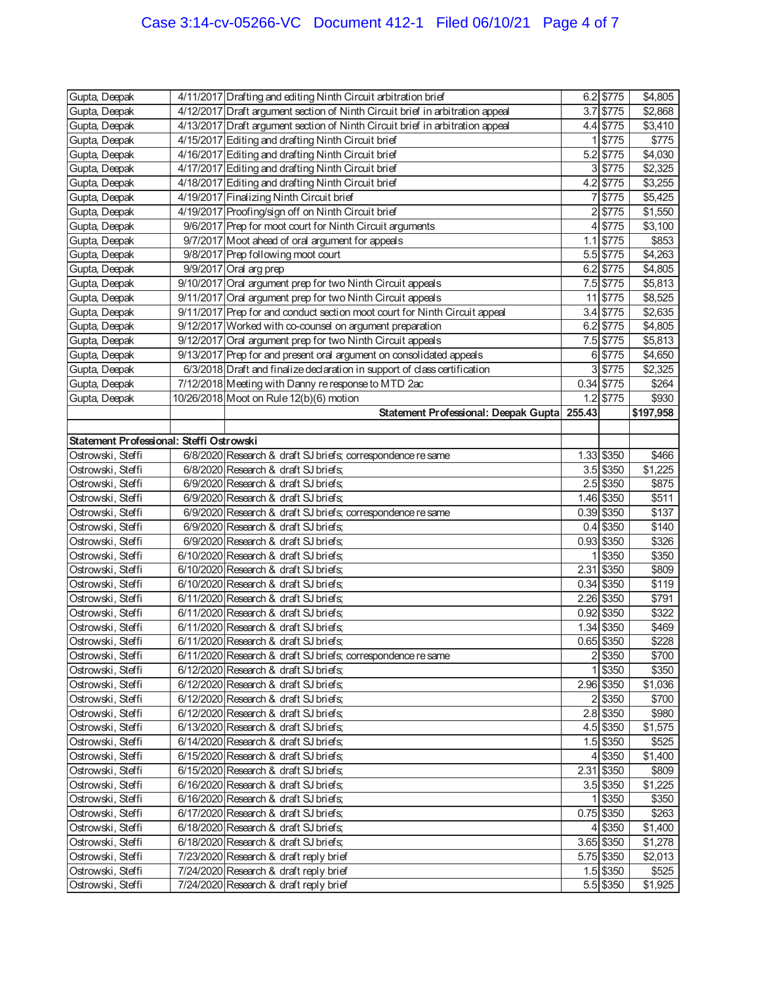| Gupta, Deepak                            | 4/11/2017 Drafting and editing Ninth Circuit arbitration brief                   |                | 6.2 \$775              | \$4,805          |
|------------------------------------------|----------------------------------------------------------------------------------|----------------|------------------------|------------------|
| Gupta, Deepak                            | 4/12/2017 Draft argument section of Ninth Circuit brief in arbitration appeal    |                | $3.7$ \$775            | \$2,868          |
| Gupta, Deepak                            | 4/13/2017 Draft argument section of Ninth Circuit brief in arbitration appeal    |                | 4.4 \$775              | \$3,410          |
| Gupta, Deepak                            | 4/15/2017 Editing and drafting Ninth Circuit brief                               | 1              | \$775                  | \$775            |
| Gupta, Deepak                            | 4/16/2017 Editing and drafting Ninth Circuit brief                               |                | 5.2 \$775              | \$4,030          |
| Gupta, Deepak                            | 4/17/2017 Editing and drafting Ninth Circuit brief                               |                | 3 \$775                | \$2,325          |
| Gupta, Deepak                            | 4/18/2017 Editing and drafting Ninth Circuit brief                               |                | 4.2 \$775              | \$3,255          |
| Gupta, Deepak                            | 4/19/2017 Finalizing Ninth Circuit brief                                         | 7              | \$775                  | \$5,425          |
| Gupta, Deepak                            | 4/19/2017 Proofing/sign off on Ninth Circuit brief                               | $\overline{2}$ | \$775                  | \$1,550          |
| Gupta, Deepak                            | 9/6/2017 Prep for moot court for Ninth Circuit arguments                         | 4              | \$775                  | \$3,100          |
| Gupta, Deepak                            | 9/7/2017 Moot ahead of oral argument for appeals                                 | 1.1            | \$775                  | \$853            |
| Gupta, Deepak                            | 9/8/2017 Prep following moot court                                               |                | 5.5 \$775              | \$4,263          |
| Gupta, Deepak                            | $9/9/2017$ Oral arg prep                                                         |                | 6.2 \$775              | \$4,805          |
| Gupta, Deepak                            | 9/10/2017 Oral argument prep for two Ninth Circuit appeals                       |                | 7.5 \$775              | \$5,813          |
| Gupta, Deepak                            | 9/11/2017 Oral argument prep for two Ninth Circuit appeals                       | 11             | \$775                  | \$8,525          |
| Gupta, Deepak                            | 9/11/2017 Prep for and conduct section moot court for Ninth Circuit appeal       |                | 3.4 \$775              | \$2,635          |
| Gupta, Deepak                            | 9/12/2017 Worked with co-counsel on argument preparation                         |                | 6.2 \$775              | \$4,805          |
| Gupta, Deepak                            | 9/12/2017 Oral argument prep for two Ninth Circuit appeals                       |                | 7.5 \$775              | \$5,813          |
| Gupta, Deepak                            | 9/13/2017 Prep for and present oral argument on consolidated appeals             |                | 6 \$775                | \$4,650          |
| Gupta, Deepak                            | 6/3/2018 Draft and finalize declaration in support of class certification        |                | 3 \$775                | \$2,325          |
| Gupta, Deepak                            | 7/12/2018 Meeting with Danny re response to MTD 2ac                              |                | $0.34$ \$775           | \$264            |
|                                          |                                                                                  |                |                        |                  |
| Gupta, Deepak                            | 10/26/2018 Moot on Rule 12(b)(6) motion                                          |                | $1.2$ \$775            | \$930            |
|                                          | Statement Professional: Deepak Gupta                                             | 255.43         |                        | \$197,958        |
|                                          |                                                                                  |                |                        |                  |
| Statement Professional: Steffi Ostrowski |                                                                                  |                |                        |                  |
| Ostrowski, Steffi                        | 6/8/2020 Research & draft SJ briefs; correspondence re same                      |                | 1.33 \$350             | \$466            |
| Ostrowski, Steffi                        | 6/8/2020 Research & draft SJ briefs;                                             |                | 3.5 \$350              | \$1,225          |
| Ostrowski, Steffi                        | 6/9/2020 Research & draft SJ briefs;                                             |                | 2.5 \$350              | \$875            |
| Ostrowski, Steffi                        | 6/9/2020 Research & draft SJ briefs;                                             |                | 1.46 \$350             | \$511            |
| Ostrowski, Steffi                        | 6/9/2020 Research & draft SJ briefs; correspondence re same                      |                | 0.39 \$350             | \$137            |
| Ostrowski, Steffi                        | 6/9/2020 Research & draft SJ briefs;                                             |                | $0.4$ \$350            | \$140            |
| Ostrowski, Steffi                        | 6/9/2020 Research & draft SJ briefs;                                             |                | 0.93 \$350             | \$326            |
| Ostrowski, Steffi                        | 6/10/2020 Research & draft SJ briefs;                                            | 1              | \$350                  | \$350            |
| Ostrowski, Steffi                        | 6/10/2020 Research & draft SJ briefs;                                            | 2.31           | \$350                  | \$809            |
| Ostrowski, Steffi                        | 6/10/2020 Research & draft SJ briefs;                                            |                | 0.34 \$350             | \$119            |
| Ostrowski, Steffi                        | 6/11/2020 Research & draft SJ briefs;                                            |                | 2.26 \$350             | \$791            |
| Ostrowski, Steffi                        | 6/11/2020 Research & draft SJ briefs;                                            |                | 0.92 \$350             | \$322            |
| Ostrowski, Steffi                        | 6/11/2020 Research & draft SJ briefs;                                            |                | 1.34 \$350             | \$469            |
| Ostrowski, Steffi                        | 6/11/2020 Research & draft SJ briefs;                                            |                | 0.65 \$350             | \$228            |
| Ostrowski, Steffi                        | 6/11/2020 Research & draft SJ briefs; correspondence re same                     |                | 2 \$350                | \$700            |
| Ostrowski, Steffi                        | 6/12/2020 Research & draft SJ briefs;                                            |                | 1 \$350                | \$350            |
| Ostrowski, Steffi                        | 6/12/2020 Research & draft SJ briefs;                                            |                | 2.96 \$350             | \$1,036          |
| Ostrowski, Steffi                        | 6/12/2020 Research & draft SJ briefs;                                            |                | 2 \$350                | \$700            |
| Ostrowski, Steffi                        | 6/12/2020 Research & draft SJ briefs;                                            |                | $2.8$ \$350            | \$980            |
| Ostrowski, Steffi                        | 6/13/2020 Research & draft SJ briefs;                                            |                | 4.5 \$350              | \$1,575          |
| Ostrowski, Steffi                        | 6/14/2020 Research & draft SJ briefs;                                            |                | 1.5 \$350              | \$525            |
| Ostrowski, Steffi                        | 6/15/2020 Research & draft SJ briefs;                                            |                | 4 \$350                | \$1,400          |
| Ostrowski, Steffi                        | 6/15/2020 Research & draft SJ briefs;                                            |                | 2.31 \$350             | \$809            |
| Ostrowski, Steffi                        | 6/16/2020 Research & draft SJ briefs;                                            |                | $3.5$ \$350            | \$1,225          |
|                                          |                                                                                  |                |                        |                  |
| Ostrowski, Steffi                        | 6/16/2020 Research & draft SJ briefs;                                            |                | 1 \$350                | \$350            |
| Ostrowski, Steffi                        | 6/17/2020 Research & draft SJ briefs;                                            |                | $0.75$ \$350           | \$263            |
| Ostrowski, Steffi                        | 6/18/2020 Research & draft SJ briefs;                                            |                | 4 \$350                | \$1,400          |
| Ostrowski, Steffi                        | 6/18/2020 Research & draft SJ briefs;                                            |                | 3.65 \$350             | \$1,278          |
| Ostrowski, Steffi                        | 7/23/2020 Research & draft reply brief                                           |                | 5.75 \$350             | \$2,013          |
|                                          |                                                                                  |                |                        |                  |
| Ostrowski, Steffi<br>Ostrowski, Steffi   | 7/24/2020 Research & draft reply brief<br>7/24/2020 Research & draft reply brief |                | 1.5 \$350<br>5.5 \$350 | \$525<br>\$1,925 |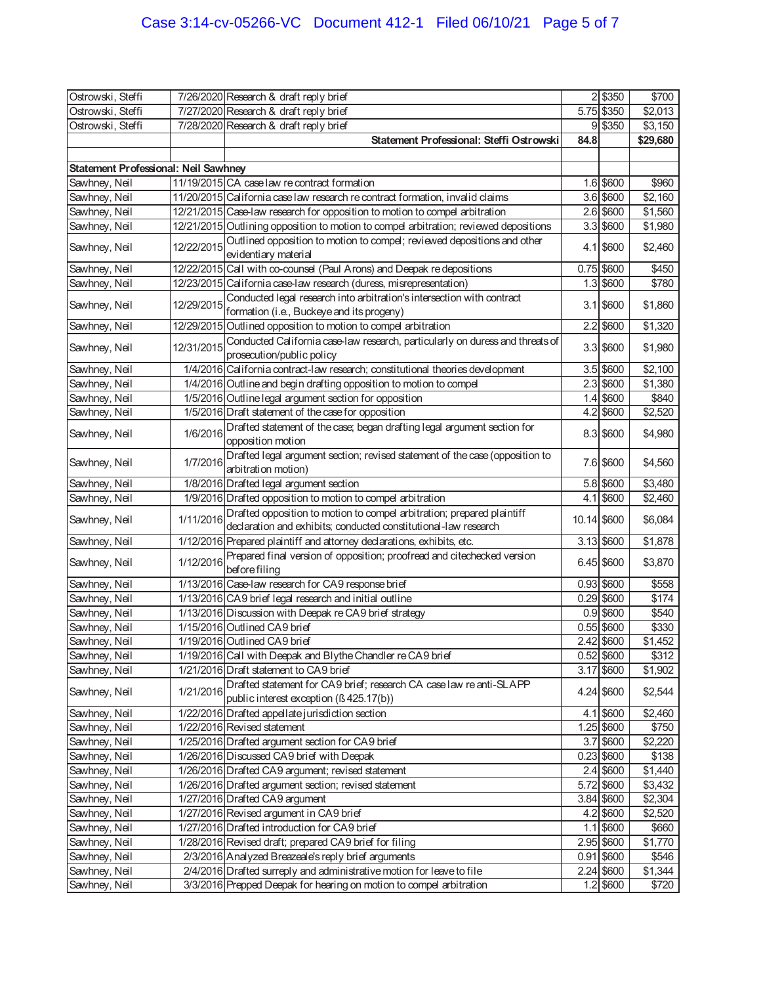| Ostrowski, Steffi                    |            | 7/26/2020 Research & draft reply brief                                                                                                    |             | 2 \$350      | \$700    |
|--------------------------------------|------------|-------------------------------------------------------------------------------------------------------------------------------------------|-------------|--------------|----------|
| Ostrowski, Steffi                    |            | 7/27/2020 Research & draft reply brief                                                                                                    |             | 5.75 \$350   | \$2,013  |
| Ostrowski, Steffi                    |            | 7/28/2020 Research & draft reply brief                                                                                                    |             | 9 \$350      | \$3,150  |
|                                      |            | Statement Professional: Steffi Ostrowski                                                                                                  | 84.8        |              | \$29,680 |
|                                      |            |                                                                                                                                           |             |              |          |
| Statement Professional: Neil Sawhney |            |                                                                                                                                           |             |              |          |
| Sawhney, Neil                        |            | 11/19/2015 CA case law re contract formation                                                                                              |             | 1.6 \$600    | \$960    |
| Sawhney, Neil                        |            | 11/20/2015 California case law research recontract formation, invalid claims                                                              |             | $3.6$ \$600  | \$2,160  |
| Sawhney, Neil                        |            | 12/21/2015 Case-law research for opposition to motion to compel arbitration                                                               |             | 2.6 \$600    | \$1,560  |
| Sawhney, Neil                        |            | 12/21/2015 Outlining opposition to motion to compel arbitration; reviewed depositions                                                     |             | $3.3$ \$600  | \$1,980  |
| Sawhney, Neil                        | 12/22/2015 | Outlined opposition to motion to compel; reviewed depositions and other                                                                   |             | $4.1$ \$600  | \$2,460  |
| Sawhney, Neil                        |            | evidentiary material<br>12/22/2015 Call with co-counsel (Paul Arons) and Deepak re depositions                                            |             | 0.75 \$600   | \$450    |
| Sawhney, Neil                        |            | 12/23/2015 California case-law research (duress, misrepresentation)                                                                       |             | $1.3$ \$600  | \$780    |
|                                      |            | Conducted legal research into arbitration's intersection with contract                                                                    |             |              |          |
| Sawhney, Neil                        | 12/29/2015 | formation (i.e., Buckeye and its progeny)                                                                                                 |             | $3.1$ \$600  | \$1,860  |
| Sawhney, Neil                        |            | 12/29/2015 Outlined opposition to motion to compel arbitration                                                                            |             | $2.2$ \$600  | \$1,320  |
| Sawhney, Neil                        | 12/31/2015 | Conducted California case-law research, particularly on duress and threats of                                                             |             | $3.3$ \$600  | \$1,980  |
|                                      |            | prosecution/public policy                                                                                                                 |             |              |          |
| Sawhney, Neil                        |            | 1/4/2016 California contract-law research; constitutional theories development                                                            |             | $3.5$ \$600  | \$2,100  |
| Sawhney, Neil                        |            | 1/4/2016 Outline and begin drafting opposition to motion to compel                                                                        |             | $2.3$ \$600  | \$1,380  |
| Sawhney, Neil                        |            | 1/5/2016 Outline legal argument section for opposition                                                                                    |             | $1.4$ \$600  | \$840    |
| Sawhney, Neil                        |            | 1/5/2016 Draft statement of the case for opposition                                                                                       |             | 4.2 \$600    | \$2,520  |
| Sawhney, Neil                        | 1/6/2016   | Drafted statement of the case; began drafting legal argument section for<br>opposition motion                                             |             | 8.3 \$600    | \$4,980  |
| Sawhney, Neil                        | 1/7/2016   | Drafted legal argument section; revised statement of the case (opposition to<br>arbitration motion)                                       |             | 7.6 \$600    | \$4,560  |
| Sawhney, Neil                        |            | 1/8/2016 Drafted legal argument section                                                                                                   |             | 5.8 \$600    | \$3,480  |
| Sawhney, Neil                        |            | 1/9/2016 Drafted opposition to motion to compel arbitration                                                                               |             | $4.1$ \$600  | \$2,460  |
| Sawhney, Neil                        | 1/11/2016  | Drafted opposition to motion to compel arbitration; prepared plaintiff<br>declaration and exhibits; conducted constitutional-law research | 10.14 \$600 |              | \$6,084  |
| Sawhney, Neil                        |            | 1/12/2016 Prepared plaintiff and attorney declarations, exhibits, etc.                                                                    |             | 3.13 \$600   | \$1,878  |
|                                      |            | Prepared final version of opposition; proofread and citechecked version                                                                   |             |              |          |
| Sawhney, Neil                        | 1/12/2016  | before filing                                                                                                                             |             | 6.45 \$600   | \$3,870  |
| Sawhney, Neil                        |            | 1/13/2016 Case-law research for CA9 response brief                                                                                        |             | $0.93$ \$600 | \$558    |
| Sawhney, Neil                        |            | 1/13/2016 CA9 brief legal research and initial outline                                                                                    |             | 0.29 \$600   | \$174    |
| Sawhney, Neil                        |            | 1/13/2016 Discussion with Deepak re CA9 brief strategy                                                                                    |             | $0.9$ \$600  | \$540    |
| Sawhney, Neil                        |            | 1/15/2016 Outlined CA9 brief                                                                                                              |             | $0.55$ \$600 | \$330    |
| Sawhney, Neil                        |            | 1/19/2016 Outlined CA9 brief                                                                                                              |             | 2.42 \$600   | \$1,452  |
| Sawhney, Neil                        |            | 1/19/2016 Call with Deepak and Blythe Chandler re CA9 brief                                                                               |             | 0.52 \$600   | \$312    |
| Sawhney, Neil                        |            | 1/21/2016 Draft statement to CA9 brief                                                                                                    |             | 3.17 \$600   | \$1,902  |
| Sawhney, Neil                        | 1/21/2016  | Drafted statement for CA9 brief; research CA case law re anti-SLAPP<br>public interest exception (ß 425.17(b))                            |             | 4.24 \$600   | \$2,544  |
| Sawhney, Neil                        |            | 1/22/2016 Drafted appellate jurisdiction section                                                                                          |             | 4.1 \$600    | \$2,460  |
| Sawhney, Neil                        |            | 1/22/2016 Revised statement                                                                                                               |             | 1.25 \$600   | \$750    |
| Sawhney, Neil                        |            | 1/25/2016 Drafted argument section for CA9 brief                                                                                          |             | 3.7 \$600    | \$2,220  |
| Sawhney, Neil                        |            | 1/26/2016 Discussed CA9 brief with Deepak                                                                                                 |             | 0.23 \$600   | \$138    |
| Sawhney, Neil                        |            | 1/26/2016 Drafted CA9 argument; revised statement                                                                                         |             | 2.4 \$600    | \$1,440  |
| Sawhney, Neil                        |            | 1/26/2016 Drafted argument section; revised statement                                                                                     |             | 5.72 \$600   | \$3,432  |
| Sawhney, Neil                        |            | 1/27/2016 Drafted CA9 argument                                                                                                            |             | 3.84 \$600   | \$2,304  |
| Sawhney, Neil                        |            | 1/27/2016 Revised argument in CA9 brief                                                                                                   |             | $4.2$ \$600  | \$2,520  |
| Sawhney, Neil                        |            | 1/27/2016 Drafted introduction for CA9 brief                                                                                              |             | $1.1$ \$600  | \$660    |
| Sawhney, Neil                        |            | 1/28/2016 Revised draft; prepared CA9 brief for filing                                                                                    |             | 2.95 \$600   | \$1,770  |
| Sawhney, Neil                        |            | 2/3/2016 Analyzed Breazeale's reply brief arguments                                                                                       |             | 0.91 \$600   | \$546    |
| Sawhney, Neil                        |            | 2/4/2016 Drafted surreply and administrative motion for leave to file                                                                     |             | 2.24 \$600   | \$1,344  |
| Sawhney, Neil                        |            | 3/3/2016 Prepped Deepak for hearing on motion to compel arbitration                                                                       |             | $1.2$ \$600  | \$720    |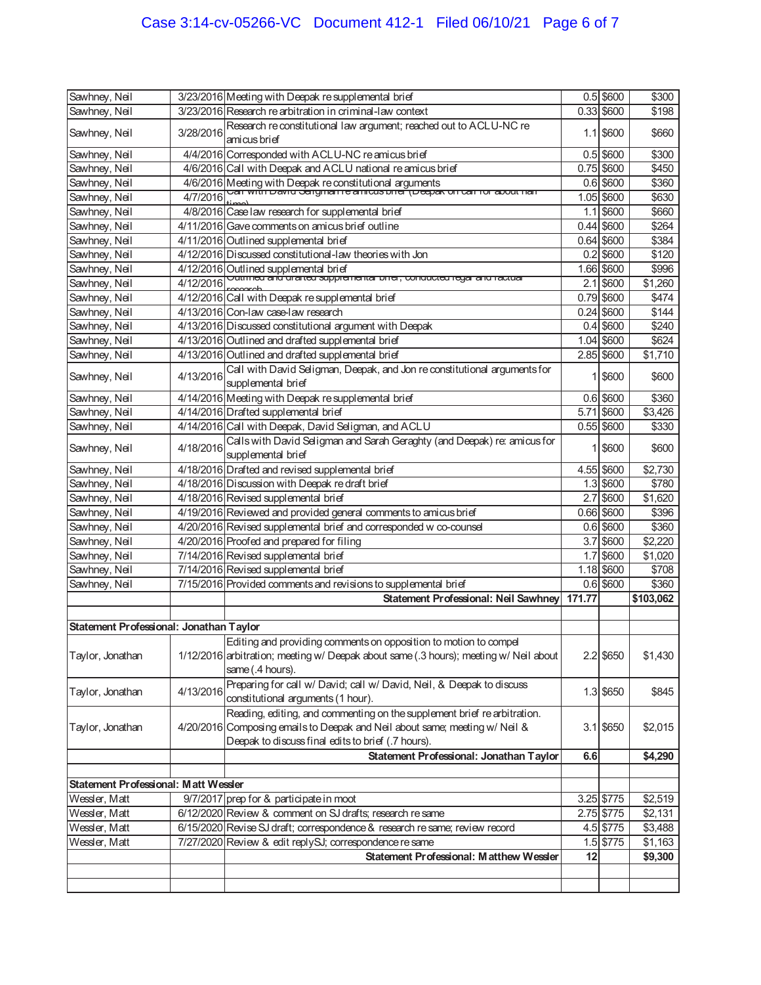| Sawhney, Neil                           |           | 3/23/2016 Meeting with Deepak re supplemental brief                                                                                       |        | $0.5$ \$600  | \$300              |
|-----------------------------------------|-----------|-------------------------------------------------------------------------------------------------------------------------------------------|--------|--------------|--------------------|
| Sawhney, Neil                           |           | 3/23/2016 Research re arbitration in criminal-law context                                                                                 |        | $0.33$ \$600 | \$198              |
| Sawhney, Neil                           | 3/28/2016 | Research re constitutional law argument; reached out to ACLU-NC re<br>amicus brief                                                        |        | $1.1$ \$600  | \$660              |
| Sawhney, Neil                           |           | 4/4/2016 Corresponded with ACLU-NC re amicus brief                                                                                        |        | $0.5$ \$600  | \$300              |
| Sawhney, Neil                           |           | 4/6/2016 Call with Deepak and ACLU national re amicus brief                                                                               |        | 0.75 \$600   | \$450              |
| Sawhney, Neil                           |           | 4/6/2016 Meeting with Deepak re constitutional arguments<br>4/7/2016 Vari with David Jargman re annous brief (Deepak on Car for about han |        | $0.6$ \$600  | \$360              |
| Sawhney, Neil                           | 4/7/2016  |                                                                                                                                           |        | 1.05 \$600   | \$630              |
| Sawhney, Neil                           |           | 4/8/2016 Case law research for supplemental brief                                                                                         |        | $1.1$ \$600  | \$660              |
| Sawhney, Neil                           |           | 4/11/2016 Gave comments on amicus brief outline                                                                                           |        | $0.44$ \$600 | \$264              |
| Sawhney, Neil                           |           | 4/11/2016 Outlined supplemental brief                                                                                                     |        | $0.64$ \$600 | \$384              |
| Sawhney, Neil                           |           | 4/12/2016 Discussed constitutional-law theories with Jon                                                                                  | 0.2    | \$600        | \$120              |
| Sawhney, Neil                           |           | 4/12/2016 Outlined supplemental brief<br>4/12/2016  Outtried and dramed supplemental brief, conducted regal and ractual                   |        | 1.66 \$600   | \$996              |
| Sawhney, Neil                           | 4/12/2016 |                                                                                                                                           | 2.1    | \$600        | \$1,260            |
| Sawhney, Neil                           |           | 4/12/2016 Call with Deepak re supplemental brief                                                                                          |        | 0.79 \$600   | \$474              |
| Sawhney, Neil                           |           | 4/13/2016 Con-law case-law research                                                                                                       |        | $0.24$ \$600 | \$144              |
| Sawhney, Neil                           |           | 4/13/2016 Discussed constitutional argument with Deepak                                                                                   | 0.4    | \$600        | \$240              |
| Sawhney, Neil                           |           | 4/13/2016 Outlined and drafted supplemental brief                                                                                         |        | 1.04 \$600   | \$624              |
| Sawhney, Neil                           |           | 4/13/2016 Outlined and drafted supplemental brief                                                                                         |        | 2.85 \$600   | \$1,710            |
| Sawhney, Neil                           | 4/13/2016 | Call with David Seligman, Deepak, and Jon re constitutional arguments for<br>supplemental brief                                           | 1      | \$600        | \$600              |
| Sawhney, Neil                           |           | 4/14/2016 Meeting with Deepak re supplemental brief                                                                                       |        | $0.6$ \$600  | \$360              |
| Sawhney, Neil                           |           | 4/14/2016 Drafted supplemental brief                                                                                                      | 5.71   | \$600        | \$3,426            |
| Sawhney, Neil                           |           | 4/14/2016 Call with Deepak, David Seligman, and ACLU                                                                                      |        | $0.55$ \$600 | \$330              |
| Sawhney, Neil                           | 4/18/2016 | Calls with David Seligman and Sarah Geraghty (and Deepak) re: amicus for<br>supplemental brief                                            | 1      | \$600        | \$600              |
| Sawhney, Neil                           |           | 4/18/2016 Drafted and revised supplemental brief                                                                                          |        | 4.55 \$600   | \$2,730            |
| Sawhney, Neil                           |           | 4/18/2016 Discussion with Deepak re draft brief                                                                                           |        | 1.3 \$600    | \$780              |
| Sawhney, Neil                           |           | 4/18/2016 Revised supplemental brief                                                                                                      |        | \$600        | \$1,620            |
| Sawhney, Neil                           |           | 4/19/2016 Reviewed and provided general comments to amicus brief                                                                          | 2.7    | 0.66 \$600   | \$396              |
| Sawhney, Neil                           |           | 4/20/2016 Revised supplemental brief and corresponded w co-counsel                                                                        |        | $0.6$ \$600  | \$360              |
| Sawhney, Neil                           |           | 4/20/2016 Proofed and prepared for filing                                                                                                 | 3.7    | \$600        | \$2,220            |
| Sawhney, Neil                           |           | 7/14/2016 Revised supplemental brief                                                                                                      | 1.7    | \$600        | \$1,020            |
| Sawhney, Neil                           |           | 7/14/2016 Revised supplemental brief                                                                                                      |        | 1.18 \$600   | \$708              |
| Sawhney, Neil                           |           | 7/15/2016 Provided comments and revisions to supplemental brief                                                                           |        | $0.6$ \$600  | \$360              |
|                                         |           | Statement Professional: Neil Sawhney                                                                                                      | 171.77 |              | \$103,062          |
|                                         |           |                                                                                                                                           |        |              |                    |
| Statement Professional: Jonathan Taylor |           |                                                                                                                                           |        |              |                    |
|                                         |           | Editing and providing comments on opposition to motion to compel                                                                          |        |              |                    |
| Taylor, Jonathan                        |           | 1/12/2016 arbitration; meeting w/ Deepak about same (.3 hours); meeting w/ Neil about                                                     |        | 2.2 \$650    | \$1,430            |
|                                         |           | same (.4 hours).                                                                                                                          |        |              |                    |
|                                         |           | Preparing for call w/ David; call w/ David, Neil, & Deepak to discuss                                                                     |        |              |                    |
| Taylor, Jonathan                        | 4/13/2016 | constitutional arguments (1 hour).                                                                                                        |        | 1.3 \$650    | \$845              |
|                                         |           | Reading, editing, and commenting on the supplement brief re arbitration.                                                                  |        |              |                    |
| Taylor, Jonathan                        |           | 4/20/2016 Composing emails to Deepak and Neil about same; meeting w/ Neil &                                                               |        | $3.1$ \$650  | \$2,015            |
|                                         |           | Deepak to discuss final edits to brief (.7 hours).                                                                                        |        |              |                    |
|                                         |           | Statement Professional: Jonathan Taylor                                                                                                   | 6.6    |              | \$4,290            |
|                                         |           |                                                                                                                                           |        |              |                    |
| Statement Professional: Matt Wessler    |           |                                                                                                                                           |        |              |                    |
| Wessler, Matt                           |           | 9/7/2017 prep for & participate in moot                                                                                                   |        | 3.25 \$775   | \$2,519            |
| Wessler, Matt                           |           | 6/12/2020 Review & comment on SJ drafts; research re same                                                                                 |        | 2.75 \$775   | \$2,131            |
| Wessler, Matt                           |           |                                                                                                                                           |        |              |                    |
|                                         |           |                                                                                                                                           |        | 4.5 \$775    |                    |
| Wessler, Matt                           |           | 6/15/2020 Revise SJ draft; correspondence & research re same; review record<br>7/27/2020 Review & edit replySJ; correspondence re same    |        | 1.5 \$775    | \$3,488<br>\$1,163 |
|                                         |           | Statement Professional: Matthew Wessler                                                                                                   | 12     |              |                    |
|                                         |           |                                                                                                                                           |        |              | \$9,300            |
|                                         |           |                                                                                                                                           |        |              |                    |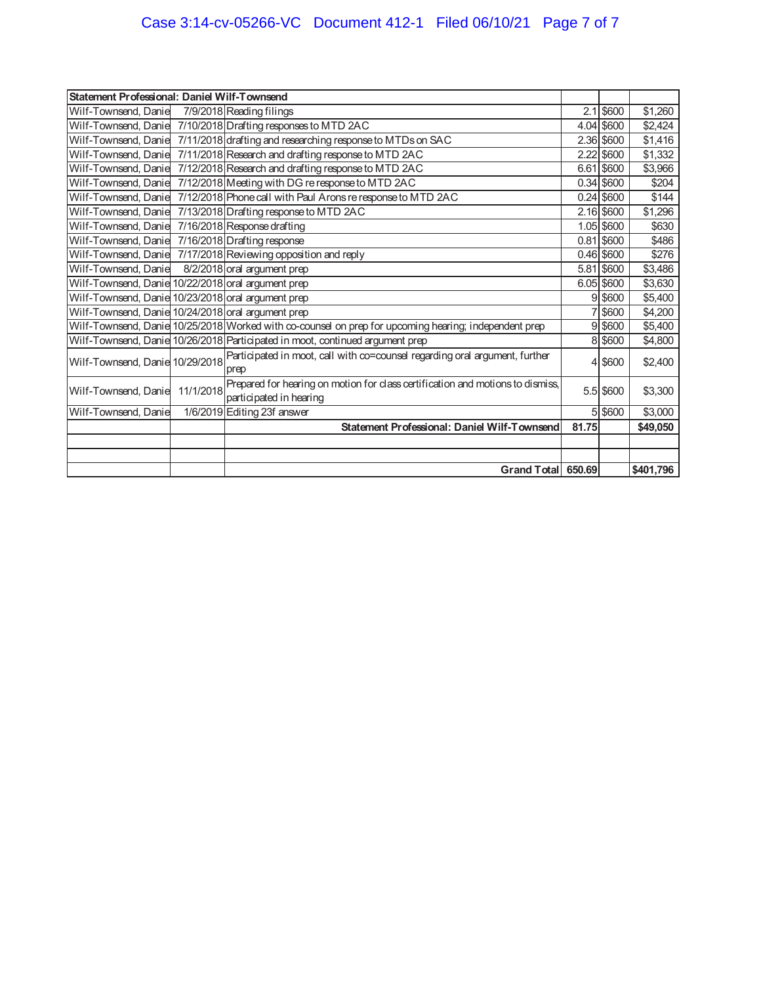# Case 3:14-cv-05266-VC Document 412-1 Filed 06/10/21 Page 7 of 7

| Statement Professional: Daniel Wilf-Townsend       |           |                                                                                                           |       |              |           |
|----------------------------------------------------|-----------|-----------------------------------------------------------------------------------------------------------|-------|--------------|-----------|
| Wilf-Townsend, Danie                               |           | 7/9/2018 Reading filings                                                                                  |       | $2.1$ \$600  | \$1,260   |
|                                                    |           | Wilf-Townsend, Danie 7/10/2018 Drafting responses to MTD 2AC                                              |       | 4.04 \$600   | \$2,424   |
|                                                    |           | Wilf-Townsend, Danie 7/11/2018 drafting and researching response to MTDs on SAC                           |       | 2.36 \$600   | \$1,416   |
|                                                    |           | Wilf-Townsend, Danie 7/11/2018 Research and drafting response to MTD 2AC                                  | 2.22  | \$600        | \$1,332   |
|                                                    |           | Wilf-Townsend, Danie 7/12/2018 Research and drafting response to MTD 2AC                                  |       | 6.61 \$600   | \$3,966   |
| Wilf-Townsend, Danie                               |           | 7/12/2018 Meeting with DG re response to MTD 2AC                                                          |       | $0.34$ \$600 | \$204     |
| Wilf-Townsend, Danie                               |           | 7/12/2018 Phone call with Paul Arons re response to MTD 2AC                                               |       | $0.24$ \$600 | \$144     |
|                                                    |           | Wilf-Townsend, Danie 7/13/2018 Drafting response to MTD 2AC                                               |       | $2.16$ \$600 | \$1,296   |
| Wilf-Townsend, Danie 7/16/2018 Response drafting   |           |                                                                                                           |       | 1.05 \$600   | \$630     |
| Wilf-Townsend, Danie 7/16/2018 Drafting response   |           |                                                                                                           |       | $0.81$ \$600 | \$486     |
|                                                    |           | Wilf-Townsend, Danie 7/17/2018 Reviewing opposition and reply                                             |       | $0.46$ \$600 | \$276     |
| Wilf-Townsend, Danie 8/2/2018 oral argument prep   |           |                                                                                                           |       | 5.81 \$600   | \$3,486   |
| Wilf-Townsend, Danie 10/22/2018 oral argument prep |           |                                                                                                           |       | 6.05 \$600   | \$3,630   |
| Wilf-Townsend, Danie 10/23/2018 oral argument prep |           |                                                                                                           |       | 9 \$600      | \$5,400   |
| Wilf-Townsend, Danie 10/24/2018 oral argument prep |           |                                                                                                           |       | 7 \$600      | \$4,200   |
|                                                    |           | Wilf-Townsend, Danie 10/25/2018 Worked with co-counsel on prep for upcoming hearing; independent prep     |       | 9 \$600      | \$5,400   |
|                                                    |           | Wilf-Townsend, Danie 10/26/2018 Participated in moot, continued argument prep                             |       | 8 \$600      | \$4,800   |
| Wilf-Townsend, Danie 10/29/2018                    |           | Participated in moot, call with co=counsel regarding oral argument, further<br>prep                       |       | 4 \$600      | \$2,400   |
| Wilf-Townsend, Danie                               | 11/1/2018 | Prepared for hearing on motion for class certification and motions to dismiss,<br>participated in hearing |       | 5.5 \$600    | \$3,300   |
| Wilf-Townsend, Danie                               |           | 1/6/2019 Editing 23f answer                                                                               |       | 5 \$600      | \$3,000   |
|                                                    |           | Statement Professional: Daniel Wilf-Townsend                                                              | 81.75 |              | \$49,050  |
|                                                    |           |                                                                                                           |       |              |           |
|                                                    |           |                                                                                                           |       |              |           |
|                                                    |           | Grand Total 650.69                                                                                        |       |              | \$401,796 |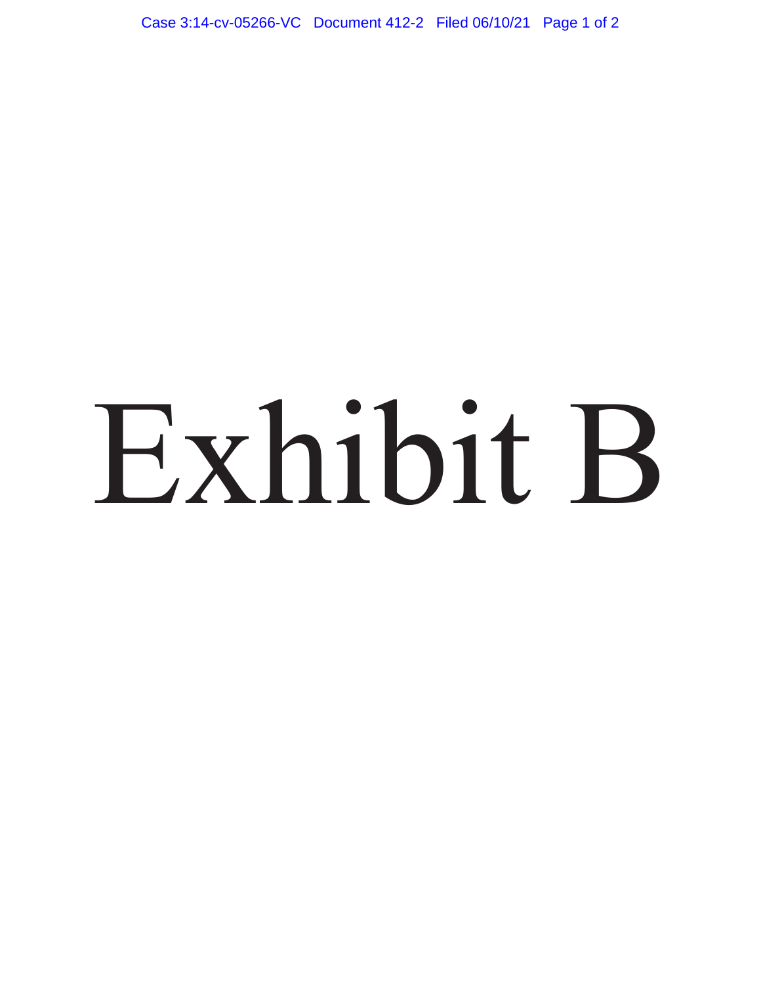Case 3:14-cv-05266-VC Document 412-2 Filed 06/10/21 Page 1 of 2

# Exhibit B